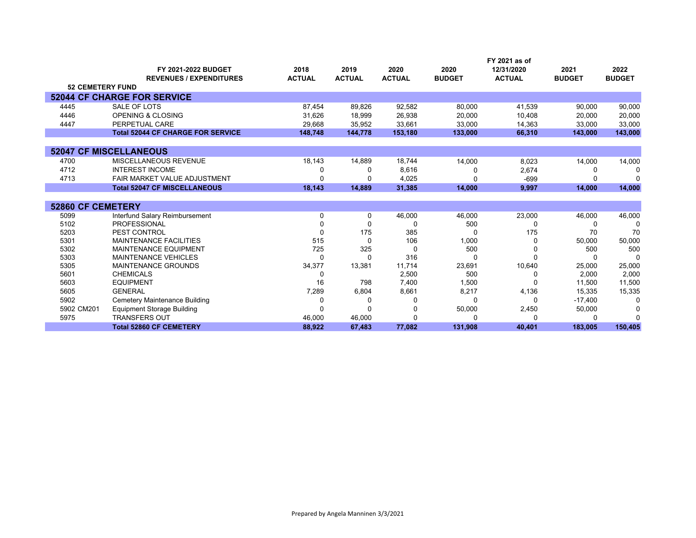|                          |                                          |               |               |               |               | FY 2021 as of |               |               |
|--------------------------|------------------------------------------|---------------|---------------|---------------|---------------|---------------|---------------|---------------|
|                          | FY 2021-2022 BUDGET                      | 2018          | 2019          | 2020          | 2020          | 12/31/2020    | 2021          | 2022          |
|                          | <b>REVENUES / EXPENDITURES</b>           | <b>ACTUAL</b> | <b>ACTUAL</b> | <b>ACTUAL</b> | <b>BUDGET</b> | <b>ACTUAL</b> | <b>BUDGET</b> | <b>BUDGET</b> |
| <b>52 CEMETERY FUND</b>  |                                          |               |               |               |               |               |               |               |
|                          | <b>52044 CF CHARGE FOR SERVICE</b>       |               |               |               |               |               |               |               |
| 4445                     | SALE OF LOTS                             | 87,454        | 89,826        | 92,582        | 80,000        | 41,539        | 90,000        | 90,000        |
| 4446                     | <b>OPENING &amp; CLOSING</b>             | 31,626        | 18,999        | 26,938        | 20,000        | 10,408        | 20,000        | 20,000        |
| 4447                     | PERPETUAL CARE                           | 29,668        | 35,952        | 33,661        | 33,000        | 14,363        | 33,000        | 33,000        |
|                          | <b>Total 52044 CF CHARGE FOR SERVICE</b> | 148.748       | 144.778       | 153,180       | 133,000       | 66,310        | 143,000       | 143,000       |
|                          |                                          |               |               |               |               |               |               |               |
|                          | <b>52047 CF MISCELLANEOUS</b>            |               |               |               |               |               |               |               |
| 4700                     | MISCELLANEOUS REVENUE                    | 18,143        | 14,889        | 18,744        | 14,000        | 8,023         | 14,000        | 14,000        |
| 4712                     | <b>INTEREST INCOME</b>                   |               | O             | 8,616         |               | 2,674         |               | n             |
| 4713                     | FAIR MARKET VALUE ADJUSTMENT             |               |               | 4,025         |               | $-699$        |               |               |
|                          | <b>Total 52047 CF MISCELLANEOUS</b>      | 18,143        | 14,889        | 31,385        | 14,000        | 9,997         | 14,000        | 14,000        |
|                          |                                          |               |               |               |               |               |               |               |
| <b>52860 CF CEMETERY</b> |                                          |               |               |               |               |               |               |               |
| 5099                     | Interfund Salary Reimbursement           | 0             | 0             | 46,000        | 46,000        | 23,000        | 46,000        | 46,000        |
| 5102                     | <b>PROFESSIONAL</b>                      |               | ŋ             | O             | 500           |               |               | 0             |
| 5203                     | PEST CONTROL                             | O             | 175           | 385           |               | 175           | 70            | 70            |
| 5301                     | <b>MAINTENANCE FACILITIES</b>            | 515           | $\Omega$      | 106           | 1,000         |               | 50,000        | 50,000        |
| 5302                     | <b>MAINTENANCE EQUIPMENT</b>             | 725           | 325           | O             | 500           |               | 500           | 500           |
| 5303                     | <b>MAINTENANCE VEHICLES</b>              | ∩             | O             | 316           |               |               |               | $\Omega$      |
| 5305                     | <b>MAINTENANCE GROUNDS</b>               | 34,377        | 13,381        | 11,714        | 23,691        | 10,640        | 25,000        | 25,000        |
| 5601                     | <b>CHEMICALS</b>                         | 0             |               | 2,500         | 500           |               | 2,000         | 2,000         |
| 5603                     | <b>EQUIPMENT</b>                         | 16            | 798           | 7,400         | 1,500         |               | 11,500        | 11,500        |
| 5605                     | <b>GENERAL</b>                           | 7,289         | 6,804         | 8,661         | 8,217         | 4,136         | 15,335        | 15,335        |
| 5902                     | Cemetery Maintenance Building            |               | O             | $\Omega$      |               | O             | $-17,400$     | $\Omega$      |
| 5902 CM201               | <b>Equipment Storage Building</b>        | ∩             | $\Omega$      | 0             | 50,000        | 2,450         | 50,000        | 0             |
| 5975                     | <b>TRANSFERS OUT</b>                     | 46,000        | 46,000        | 0             |               |               |               | ∩             |
|                          | <b>Total 52860 CF CEMETERY</b>           | 88.922        | 67.483        | 77,082        | 131,908       | 40.401        | 183.005       | 150,405       |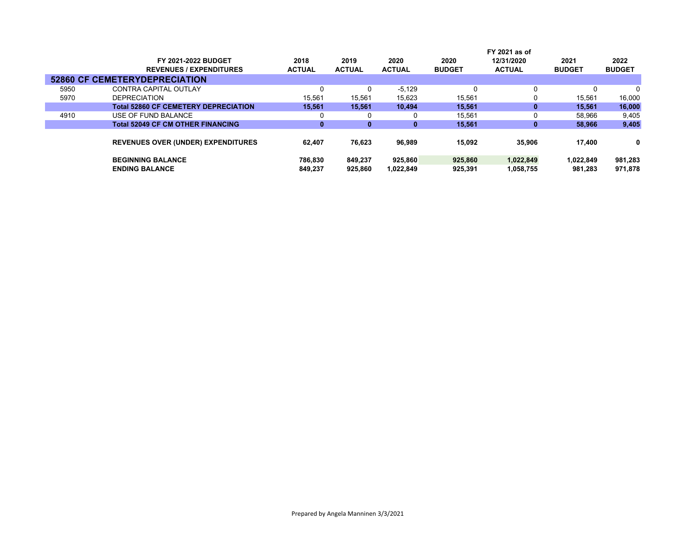|      |                                             |               |               |               |               | FY 2021 as of |               |               |
|------|---------------------------------------------|---------------|---------------|---------------|---------------|---------------|---------------|---------------|
|      | FY 2021-2022 BUDGET                         | 2018          | 2019          | 2020          | 2020          | 12/31/2020    | 2021          | 2022          |
|      | <b>REVENUES / EXPENDITURES</b>              | <b>ACTUAL</b> | <b>ACTUAL</b> | <b>ACTUAL</b> | <b>BUDGET</b> | <b>ACTUAL</b> | <b>BUDGET</b> | <b>BUDGET</b> |
|      | <b>52860 CF CEMETERYDEPRECIATION</b>        |               |               |               |               |               |               |               |
| 5950 | CONTRA CAPITAL OUTLAY                       | 0             | 0             | $-5,129$      | 0             | 0             |               |               |
| 5970 | <b>DEPRECIATION</b>                         | 15.561        | 15.561        | 15,623        | 15,561        | 0             | 15.561        | 16,000        |
|      | <b>Total 52860 CF CEMETERY DEPRECIATION</b> | 15.561        | 15.561        | 10.494        | 15.561        | $\bf{0}$      | 15.561        | 16,000        |
| 4910 | USE OF FUND BALANCE                         | 0             | 0             |               | 15,561        | 0             | 58,966        | 9,405         |
|      | <b>Total 52049 CF CM OTHER FINANCING</b>    | 0             | 0             | 0             | 15,561        | 0             | 58,966        | 9,405         |
|      |                                             |               |               |               |               |               |               |               |
|      | <b>REVENUES OVER (UNDER) EXPENDITURES</b>   | 62.407        | 76,623        | 96,989        | 15.092        | 35,906        | 17.400        | 0             |
|      |                                             |               |               |               |               |               |               |               |
|      | <b>BEGINNING BALANCE</b>                    | 786.830       | 849.237       | 925.860       | 925.860       | 1,022,849     | 1,022,849     | 981,283       |
|      | <b>ENDING BALANCE</b>                       | 849.237       | 925,860       | 1.022.849     | 925,391       | 1,058,755     | 981.283       | 971.878       |
|      |                                             |               |               |               |               |               |               |               |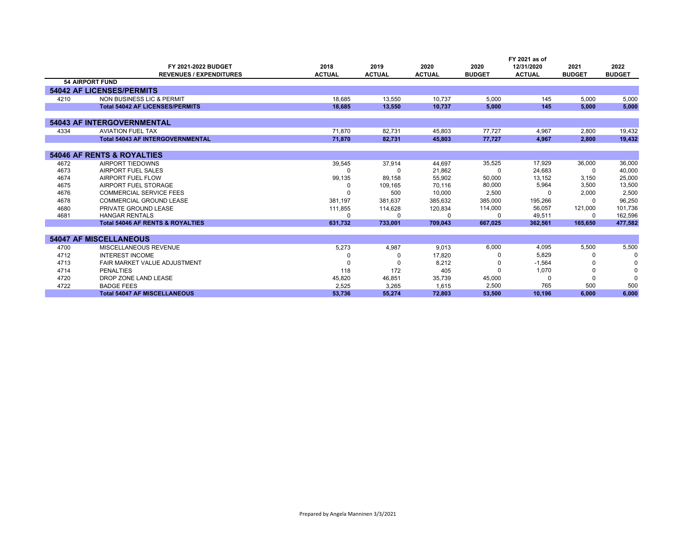|      |                                             |               |               |               |               | FY 2021 as of |               |               |
|------|---------------------------------------------|---------------|---------------|---------------|---------------|---------------|---------------|---------------|
|      | FY 2021-2022 BUDGET                         | 2018          | 2019          | 2020          | 2020          | 12/31/2020    | 2021          | 2022          |
|      | <b>REVENUES / EXPENDITURES</b>              | <b>ACTUAL</b> | <b>ACTUAL</b> | <b>ACTUAL</b> | <b>BUDGET</b> | <b>ACTUAL</b> | <b>BUDGET</b> | <b>BUDGET</b> |
|      | <b>54 AIRPORT FUND</b>                      |               |               |               |               |               |               |               |
|      | <b>54042 AF LICENSES/PERMITS</b>            |               |               |               |               |               |               |               |
| 4210 | NON BUSINESS LIC & PERMIT                   | 18,685        | 13.550        | 10.737        | 5.000         | 145           | 5,000         | 5,000         |
|      | <b>Total 54042 AF LICENSES/PERMITS</b>      | 18.685        | 13.550        | 10.737        | 5.000         | 145           | 5.000         | 5.000         |
|      |                                             |               |               |               |               |               |               |               |
|      | <b>54043 AF INTERGOVERNMENTAL</b>           |               |               |               |               |               |               |               |
| 4334 | <b>AVIATION FUEL TAX</b>                    | 71,870        | 82,731        | 45,803        | 77,727        | 4.967         | 2,800         | 19,432        |
|      | <b>Total 54043 AF INTERGOVERNMENTAL</b>     | 71,870        | 82,731        | 45,803        | 77,727        | 4,967         | 2,800         | 19,432        |
|      |                                             |               |               |               |               |               |               |               |
|      | <b>54046 AF RENTS &amp; ROYALTIES</b>       |               |               |               |               |               |               |               |
| 4672 | AIRPORT TIEDOWNS                            | 39,545        | 37.914        | 44.697        | 35,525        | 17,929        | 36,000        | 36,000        |
| 4673 | AIRPORT FUEL SALES                          |               | <sup>0</sup>  | 21,862        | $\Omega$      | 24,683        | O             | 40,000        |
| 4674 | AIRPORT FUEL FLOW                           | 99,135        | 89,158        | 55,902        | 50,000        | 13,152        | 3,150         | 25,000        |
| 4675 | AIRPORT FUEL STORAGE                        | $\Omega$      | 109,165       | 70,116        | 80,000        | 5,964         | 3,500         | 13,500        |
| 4676 | <b>COMMERCIAL SERVICE FEES</b>              |               | 500           | 10.000        | 2,500         | n             | 2,000         | 2,500         |
| 4678 | COMMERCIAL GROUND LEASE                     | 381.197       | 381.637       | 385.632       | 385,000       | 195,266       |               | 96,250        |
| 4680 | PRIVATE GROUND LEASE                        | 111,855       | 114.628       | 120.834       | 114,000       | 56.057        | 121,000       | 101,736       |
| 4681 | <b>HANGAR RENTALS</b>                       | $\Omega$      | $\Omega$      |               | 0             | 49,511        | 0             | 162,596       |
|      | <b>Total 54046 AF RENTS &amp; ROYALTIES</b> | 631,732       | 733,001       | 709,043       | 667,025       | 362.561       | 165,650       | 477,582       |
|      |                                             |               |               |               |               |               |               |               |
|      | <b>54047 AF MISCELLANEOUS</b>               |               |               |               |               |               |               |               |
| 4700 | MISCELLANEOUS REVENUE                       | 5,273         | 4,987         | 9.013         | 6,000         | 4.095         | 5,500         | 5,500         |
| 4712 | <b>INTEREST INCOME</b>                      |               | 0             | 17,820        |               | 5,829         |               | $\Omega$      |
| 4713 | FAIR MARKET VALUE ADJUSTMENT                |               |               | 8,212         |               | $-1,564$      |               | 0             |
| 4714 | <b>PENALTIES</b>                            | 118           | 172           | 405           |               | 1,070         |               | $\Omega$      |
| 4720 | DROP ZONE LAND LEASE                        | 45,820        | 46,851        | 35,739        | 45,000        | O             |               |               |
| 4722 | <b>BADGE FEES</b>                           | 2,525         | 3,265         | 1.615         | 2,500         | 765           | 500           | 500           |
|      | <b>Total 54047 AF MISCELLANEOUS</b>         | 53.736        | 55.274        | 72.803        | 53.500        | 10.196        | 6.000         | 6.000         |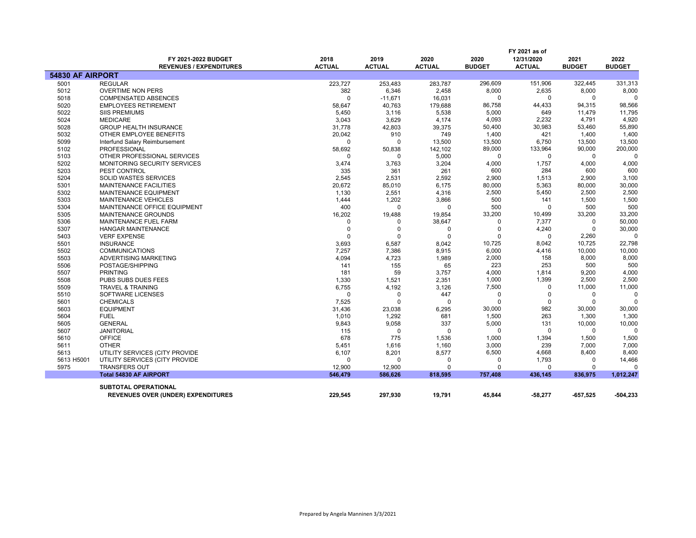|                  | FY 2021-2022 BUDGET<br><b>REVENUES / EXPENDITURES</b> | 2018<br><b>ACTUAL</b>   | 2019<br><b>ACTUAL</b>   | 2020<br><b>ACTUAL</b> | 2020<br><b>BUDGET</b> | FY 2021 as of<br>12/31/2020<br><b>ACTUAL</b> | 2021<br><b>BUDGET</b>   | 2022<br><b>BUDGET</b> |
|------------------|-------------------------------------------------------|-------------------------|-------------------------|-----------------------|-----------------------|----------------------------------------------|-------------------------|-----------------------|
| 54830 AF AIRPORT |                                                       |                         |                         |                       |                       |                                              |                         |                       |
| 5001             | <b>REGULAR</b>                                        | 223,727                 | 253,483                 | 283,787               | 296,609               | 151,906                                      | 322,445                 | 331,313               |
| 5012             | <b>OVERTIME NON PERS</b>                              | 382                     | 6,346                   | 2,458                 | 8,000                 | 2,635                                        | 8,000                   | 8,000                 |
| 5018             | <b>COMPENSATED ABSENCES</b>                           | $\Omega$                | $-11,671$               | 16,031                | $\Omega$              | 0                                            | 0                       |                       |
| 5020             | <b>EMPLOYEES RETIREMENT</b>                           | 58,647                  | 40,763                  | 179,688               | 86,758                | 44,433                                       | 94,315                  | 98,566                |
| 5022             | <b>SIIS PREMIUMS</b>                                  | 5,450                   | 3,116                   | 5,538                 | 5,000                 | 649                                          | 11,479                  | 11,795                |
| 5024             | <b>MEDICARE</b>                                       | 3,043                   | 3,629                   | 4,174                 | 4,093                 | 2,232                                        | 4,791                   | 4,920                 |
| 5028             | <b>GROUP HEALTH INSURANCE</b>                         | 31,778                  | 42,803                  | 39,375                | 50,400                | 30,983                                       | 53,460                  | 55,890                |
| 5032             | OTHER EMPLOYEE BENEFITS                               | 20,042                  | 910                     | 749                   | 1,400                 | 421                                          | 1,400                   | 1,400                 |
| 5099             | Interfund Salary Reimbursement                        | 0                       | O                       | 13,500                | 13,500                | 6,750                                        | 13,500                  | 13,500                |
| 5102             | <b>PROFESSIONAL</b>                                   | 58,692                  | 50,838                  | 142,102               | 89,000                | 133,964                                      | 90,000                  | 200,000               |
| 5103             | OTHER PROFESSIONAL SERVICES                           | $\Omega$                | 0                       | 5,000                 | 0                     | $\mathbf 0$                                  | $\mathbf 0$             |                       |
| 5202             | MONITORING SECURITY SERVICES                          | 3,474                   | 3,763                   | 3,204                 | 4,000                 | 1,757                                        | 4,000                   | 4,000                 |
| 5203             | PEST CONTROL                                          | 335                     | 361                     | 261                   | 600                   | 284                                          | 600                     | 600                   |
| 5204             | <b>SOLID WASTES SERVICES</b>                          | 2,545                   | 2,531                   | 2,592                 | 2,900                 | 1,513                                        | 2,900                   | 3,100                 |
| 5301             | <b>MAINTENANCE FACILITIES</b>                         | 20,672                  | 85,010                  | 6,175                 | 80,000                | 5,363                                        | 80,000                  | 30,000                |
| 5302             | MAINTENANCE EQUIPMENT                                 | 1,130                   | 2,551                   | 4,316                 | 2,500                 | 5,450                                        | 2,500                   | 2,500                 |
| 5303             | <b>MAINTENANCE VEHICLES</b>                           | 1,444                   | 1,202                   | 3,866                 | 500                   | 141                                          | 1,500                   | 1,500                 |
| 5304             | MAINTENANCE OFFICE EQUIPMENT                          | 400                     | $\Omega$                | $\Omega$              | 500                   | $\Omega$                                     | 500                     | 500                   |
| 5305             | MAINTENANCE GROUNDS                                   | 16,202                  | 19,488                  | 19,854                | 33,200<br>$\Omega$    | 10,499                                       | 33,200                  | 33,200                |
| 5306             | MAINTENANCE FUEL FARM                                 | $\Omega$<br>$\mathbf 0$ | 0                       | 38,647                | $\mathbf 0$           | 7,377<br>4,240                               | $\Omega$<br>$\mathbf 0$ | 50,000<br>30,000      |
| 5307             | <b>HANGAR MAINTENANCE</b>                             | $\Omega$                | $\mathbf 0$<br>$\Omega$ | 0<br>$\Omega$         | $\Omega$              | $\Omega$                                     |                         | $\Omega$              |
| 5403<br>5501     | <b>VERF EXPENSE</b><br><b>INSURANCE</b>               | 3,693                   | 6,587                   | 8,042                 | 10,725                | 8,042                                        | 2,260<br>10,725         | 22,798                |
| 5502             | <b>COMMUNICATIONS</b>                                 | 7,257                   | 7,386                   | 8,915                 | 6,000                 | 4,416                                        | 10,000                  | 10,000                |
| 5503             | ADVERTISING MARKETING                                 | 4,094                   | 4,723                   | 1,989                 | 2,000                 | 158                                          | 8,000                   | 8,000                 |
| 5506             | POSTAGE/SHIPPING                                      | 141                     | 155                     | 65                    | 223                   | 253                                          | 500                     | 500                   |
| 5507             | <b>PRINTING</b>                                       | 181                     | 59                      | 3,757                 | 4,000                 | 1,814                                        | 9,200                   | 4,000                 |
| 5508             | <b>PUBS SUBS DUES FEES</b>                            | 1,330                   | 1,521                   | 2,351                 | 1,000                 | 1,399                                        | 2,500                   | 2,500                 |
| 5509             | <b>TRAVEL &amp; TRAINING</b>                          | 6,755                   | 4,192                   | 3,126                 | 7,500                 | $\Omega$                                     | 11,000                  | 11,000                |
| 5510             | SOFTWARE LICENSES                                     | 0                       | 0                       | 447                   | $\Omega$              | $\Omega$                                     | 0                       | $\Omega$              |
| 5601             | <b>CHEMICALS</b>                                      | 7,525                   | $\Omega$                | $\Omega$              | $\Omega$              | $\Omega$                                     | $\Omega$                |                       |
| 5603             | <b>EQUIPMENT</b>                                      | 31,436                  | 23,038                  | 6,295                 | 30,000                | 982                                          | 30,000                  | 30,000                |
| 5604             | <b>FUEL</b>                                           | 1,010                   | 1,292                   | 681                   | 1,500                 | 263                                          | 1,300                   | 1,300                 |
| 5605             | <b>GENERAL</b>                                        | 9,843                   | 9,058                   | 337                   | 5,000                 | 131                                          | 10,000                  | 10,000                |
| 5607             | <b>JANITORIAL</b>                                     | 115                     | $\Omega$                | $\Omega$              | $\Omega$              | $\mathbf 0$                                  | $\mathbf 0$             | $\Omega$              |
| 5610             | <b>OFFICE</b>                                         | 678                     | 775                     | 1,536                 | 1,000                 | 1,394                                        | 1,500                   | 1,500                 |
| 5611             | <b>OTHER</b>                                          | 5,451                   | 1,616                   | 1,160                 | 3,000                 | 239                                          | 7,000                   | 7,000                 |
| 5613             | UTILITY SERVICES (CITY PROVIDE                        | 6,107                   | 8,201                   | 8,577                 | 6,500                 | 4,668                                        | 8,400                   | 8,400                 |
| 5613 H5001       | UTILITY SERVICES (CITY PROVIDE                        | $\Omega$                | $\Omega$                | $\Omega$              | $\Omega$              | 1,793                                        | 0                       | 14,466                |
| 5975             | <b>TRANSFERS OUT</b>                                  | 12,900                  | 12,900                  | $\Omega$              | 0                     | $\mathbf 0$                                  | $\Omega$                | $\Omega$              |
|                  | <b>Total 54830 AF AIRPORT</b>                         | 546,479                 | 586,626                 | 818,595               | 757,408               | 436,145                                      | 836,975                 | 1,012,247             |
|                  | <b>SUBTOTAL OPERATIONAL</b>                           |                         |                         |                       |                       |                                              |                         |                       |
|                  | <b>REVENUES OVER (UNDER) EXPENDITURES</b>             | 229,545                 | 297,930                 | 19,791                | 45,844                | -58,277                                      | $-657,525$              | -504,233              |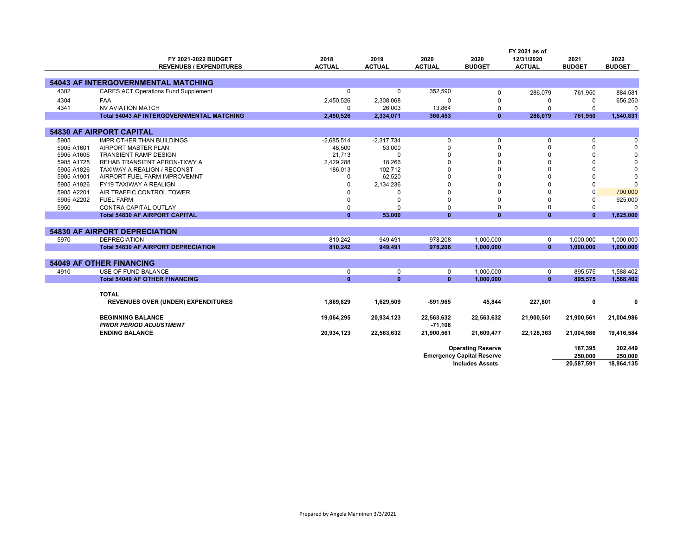|            |                                                  |               | FY 2021 as of |               |                                  |               |                |               |
|------------|--------------------------------------------------|---------------|---------------|---------------|----------------------------------|---------------|----------------|---------------|
|            | FY 2021-2022 BUDGET                              | 2018          | 2019          | 2020          | 2020                             | 12/31/2020    | 2021           | 2022          |
|            | <b>REVENUES / EXPENDITURES</b>                   | <b>ACTUAL</b> | <b>ACTUAL</b> | <b>ACTUAL</b> | <b>BUDGET</b>                    | <b>ACTUAL</b> | <b>BUDGET</b>  | <b>BUDGET</b> |
|            |                                                  |               |               |               |                                  |               |                |               |
|            | <b>54043 AF INTERGOVERNMENTAL MATCHING</b>       |               |               |               |                                  |               |                |               |
| 4302       | <b>CARES ACT Operations Fund Supplement</b>      | 0             | 0             | 352,590       | 0                                | 286,079       | 761,950        | 884,581       |
| 4304       | <b>FAA</b>                                       | 2,450,526     | 2,308,068     | $\Omega$      | $\Omega$                         | 0             | $\Omega$       | 656,250       |
| 4341       | <b>NV AVIATION MATCH</b>                         | 0             | 26,003        | 13,864        | $\mathbf 0$                      | $\Omega$      | $\Omega$       | $\Omega$      |
|            | <b>Total 54043 AF INTERGOVERNMENTAL MATCHING</b> | 2,450,526     | 2,334,071     | 366,453       | $\mathbf{0}$                     | 286,079       | 761,950        | 1,540,831     |
|            |                                                  |               |               |               |                                  |               |                |               |
|            | <b>54830 AF AIRPORT CAPITAL</b>                  |               |               |               |                                  |               |                |               |
| 5905       | <b>IMPR OTHER THAN BUILDINGS</b>                 | $-2,685,514$  | $-2.317.734$  | 0             | $\mathbf 0$                      | 0             | 0              | $\Omega$      |
| 5905 A1601 | AIRPORT MASTER PLAN                              | 48,500        | 53,000        | $\Omega$      | $\mathbf 0$                      | $\Omega$      | 0              | $\Omega$      |
| 5905 A1606 | <b>TRANSIENT RAMP DESIGN</b>                     | 21,713        | 0             |               | $\Omega$                         | $\Omega$      | 0              | 0             |
| 5905 A1725 | REHAB TRANSIENT APRON-TXWY A                     | 2,429,288     | 18,266        |               | $\Omega$                         | $\Omega$      | 0              | $\Omega$      |
| 5905 A1826 | TAXIWAY A REALIGN / RECONST                      | 186,013       | 102,712       | $\Omega$      | $\Omega$                         | $\Omega$      | 0              | $\Omega$      |
| 5905 A1901 | AIRPORT FUEL FARM IMPROVEMNT                     | $\Omega$      | 62,520        |               | $\Omega$                         | 0             | 0              | $\Omega$      |
| 5905 A1926 | FY19 TAXIWAY A REALIGN                           | $\Omega$      | 2,134,236     |               |                                  | 0             | 0              | $\Omega$      |
| 5905 A2201 | AIR TRAFFIC CONTROL TOWER                        |               | $\Omega$      |               | $\Omega$                         | $\Omega$      | $\overline{0}$ | 700,000       |
| 5905 A2202 | <b>FUEL FARM</b>                                 | $\Omega$      | $\mathbf 0$   | $\Omega$      | $\Omega$                         | $\Omega$      | $\Omega$       | 925,000       |
| 5950       | <b>CONTRA CAPITAL OUTLAY</b>                     | 0             | $\Omega$      | $\Omega$      | $\mathbf 0$                      | 0             | 0              | $\Omega$      |
|            | <b>Total 54830 AF AIRPORT CAPITAL</b>            | $\mathbf{0}$  | 53,000        | $\mathbf{0}$  | $\mathbf{0}$                     | $\mathbf{0}$  | $\mathbf{0}$   | 1,625,000     |
|            |                                                  |               |               |               |                                  |               |                |               |
|            | <b>54830 AF AIRPORT DEPRECIATION</b>             |               |               |               |                                  |               |                |               |
| 5970       | <b>DEPRECIATION</b>                              | 810,242       | 949,491       | 978,208       | 1,000,000                        | $\mathbf 0$   | 1,000,000      | 1,000,000     |
|            | <b>Total 54830 AF AIRPORT DEPRECIATION</b>       | 810,242       | 949,491       | 978,208       | 1,000,000                        | $\mathbf{0}$  | 1,000,000      | 1,000,000     |
|            |                                                  |               |               |               |                                  |               |                |               |
|            | <b>54049 AF OTHER FINANCING</b>                  |               |               |               |                                  |               |                |               |
| 4910       | USE OF FUND BALANCE                              | 0             | $\mathbf 0$   | 0             | 1.000.000                        | $\mathbf 0$   | 895.575        | 1.588.402     |
|            | <b>Total 54049 AF OTHER FINANCING</b>            | $\mathbf{0}$  | $\mathbf{0}$  | $\mathbf{0}$  | 1,000,000                        | $\mathbf{0}$  | 895,575        | 1,588,402     |
|            |                                                  |               |               |               |                                  |               |                |               |
|            | <b>TOTAL</b>                                     |               |               |               |                                  |               |                |               |
|            | <b>REVENUES OVER (UNDER) EXPENDITURES</b>        | 1,869,829     | 1,629,509     | $-591,965$    | 45,844                           | 227,801       | 0              | $\mathbf{0}$  |
|            |                                                  |               |               |               |                                  |               |                |               |
|            | <b>BEGINNING BALANCE</b>                         | 19,064,295    | 20,934,123    | 22,563,632    | 22,563,632                       | 21,900,561    | 21,900,561     | 21,004,986    |
|            | <b>PRIOR PERIOD ADJUSTMENT</b>                   |               |               | $-71,106$     |                                  |               |                |               |
|            | <b>ENDING BALANCE</b>                            | 20,934,123    | 22,563,632    | 21,900,561    | 21,609,477                       | 22,128,363    | 21,004,986     | 19,416,584    |
|            |                                                  |               |               |               |                                  |               |                |               |
|            |                                                  |               |               |               | <b>Operating Reserve</b>         |               | 167,395        | 202,449       |
|            |                                                  |               |               |               | <b>Emergency Capital Reserve</b> |               | 250,000        | 250,000       |
|            |                                                  |               |               |               | <b>Includes Assets</b>           |               | 20,587,591     | 18,964,135    |
|            |                                                  |               |               |               |                                  |               |                |               |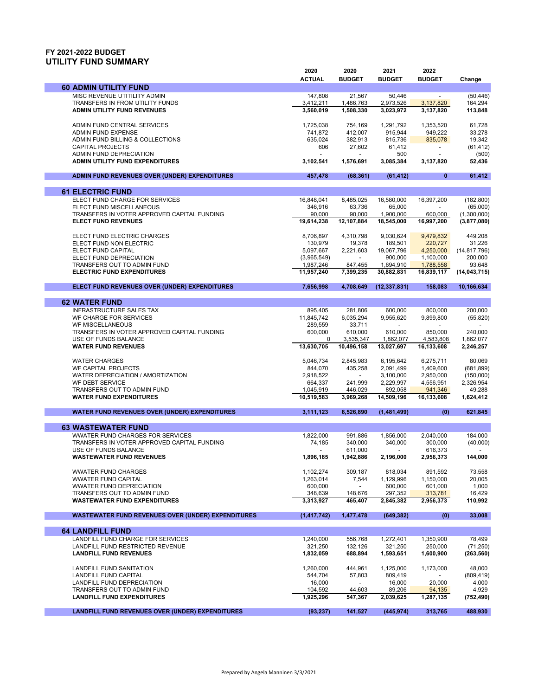## **FY 2021-2022 BUDGET UTILITY FUND SUMMARY**

|                                                                  | 2020                 | 2020                     | 2021                   | 2022                     |                        |
|------------------------------------------------------------------|----------------------|--------------------------|------------------------|--------------------------|------------------------|
|                                                                  | <b>ACTUAL</b>        | <b>BUDGET</b>            | <b>BUDGET</b>          | <b>BUDGET</b>            | Change                 |
| <b>60 ADMIN UTILITY FUND</b>                                     |                      |                          |                        |                          |                        |
| MISC REVENUE UTITILITY ADMIN                                     | 147,808              | 21,567                   | 50,446                 |                          | (50, 446)              |
| TRANSFERS IN FROM UTILITY FUNDS                                  | 3,412,211            | 1,486,763                | 2,973,526              | 3,137,820                | 164,294                |
| <b>ADMIN UTILITY FUND REVENUES</b>                               | 3,560,019            | 1,508,330                | 3,023,972              | 3,137,820                | 113,848                |
|                                                                  |                      |                          |                        |                          |                        |
| ADMIN FUND CENTRAL SERVICES                                      | 1,725,038            | 754,169                  | 1,291,792              | 1.353.520                | 61,728                 |
| <b>ADMIN FUND EXPENSE</b>                                        | 741,872              | 412,007                  | 915,944                | 949,222                  | 33,278                 |
| ADMIN FUND BILLING & COLLECTIONS<br><b>CAPITAL PROJECTS</b>      | 635,024<br>606       | 382,913<br>27,602        | 815,736<br>61,412      | 835,078                  | 19,342                 |
| ADMIN FUND DEPRECIATION                                          |                      | $\overline{\phantom{a}}$ | 500                    | $\overline{\phantom{a}}$ | (61, 412)<br>(500)     |
| <b>ADMIN UTILITY FUND EXPENDITURES</b>                           | 3,102,541            | 1,576,691                | 3,085,384              | 3,137,820                | 52,436                 |
|                                                                  |                      |                          |                        |                          |                        |
| ADMIN FUND REVENUES OVER (UNDER) EXPENDITURES                    | 457,478              | (68, 361)                | (61, 412)              | $\mathbf{0}$             | 61,412                 |
| <b>61 ELECTRIC FUND</b>                                          |                      |                          |                        |                          |                        |
| ELECT FUND CHARGE FOR SERVICES                                   | 16,848,041           | 8,485,025                | 16,580,000             | 16,397,200               | (182, 800)             |
| ELECT FUND MISCELLANEOUS                                         | 346,916              | 63,736                   | 65,000                 | $\overline{a}$           | (65,000)               |
| TRANSFERS IN VOTER APPROVED CAPITAL FUNDING                      | 90,000               | 90,000                   | 1,900,000              | 600,000                  | (1,300,000)            |
| <b>ELECT FUND REVENUES</b>                                       | 19,614,238           | 12,107,884               | 18,545,000             | 16,997,200               | (3,877,080)            |
|                                                                  |                      |                          |                        |                          |                        |
| ELECT FUND ELECTRIC CHARGES                                      | 8,706,897            | 4,310,798                | 9,030,624              | 9,479,832                | 449,208                |
| ELECT FUND NON ELECTRIC                                          | 130,979              | 19,378                   | 189,501                | 220,727                  | 31,226                 |
| ELECT FUND CAPITAL                                               | 5,097,667            | 2,221,603                | 19,067,796             | 4,250,000                | (14, 817, 796)         |
| ELECT FUND DEPRECIATION                                          | (3,965,549)          |                          | 900,000                | 1,100,000                | 200,000                |
| TRANSFERS OUT TO ADMIN FUND                                      | 1,987,246            | 847,455                  | 1,694,910              | 1,788,558                | 93,648                 |
| <b>ELECTRIC FUND EXPENDITURES</b>                                | 11,957,240           | 7,399,235                | 30,882,831             | 16,839,117               | (14, 043, 715)         |
| ELECT FUND REVENUES OVER (UNDER) EXPENDITURES                    | 7,656,998            | 4,708,649                | (12, 337, 831)         | 158,083                  | 10,166,634             |
|                                                                  |                      |                          |                        |                          |                        |
| <b>62 WATER FUND</b>                                             |                      |                          |                        |                          |                        |
| <b>INFRASTRUCTURE SALES TAX</b>                                  | 895,405              | 281,806                  | 600,000                | 800,000                  | 200.000                |
| WF CHARGE FOR SERVICES                                           | 11,845,742           | 6,035,294                | 9,955,620              | 9,899,800                | (55, 820)              |
| <b>WF MISCELLANEOUS</b>                                          | 289,559              | 33,711                   |                        |                          |                        |
| TRANSFERS IN VOTER APPROVED CAPITAL FUNDING                      | 600,000              | 610,000                  | 610,000                | 850,000                  | 240,000                |
| USE OF FUNDS BALANCE                                             | 0                    | 3,535,347                | 1,862,077              | 4,583,808                | 1,862,077              |
| <b>WATER FUND REVENUES</b>                                       | 13,630,705           | 10,496,158               | 13,027,697             | 16,133,608               | 2,246,257              |
|                                                                  |                      |                          |                        |                          |                        |
| <b>WATER CHARGES</b>                                             | 5,046,734            | 2,845,983                | 6,195,642              | 6,275,711                | 80,069                 |
| WF CAPITAL PROJECTS<br>WATER DEPRECIATION / AMORTIZATION         | 844,070              | 435,258<br>$\sim$        | 2,091,499              | 1,409,600                | (681, 899)             |
| WF DEBT SERVICE                                                  | 2,918,522<br>664,337 | 241,999                  | 3,100,000<br>2,229,997 | 2,950,000<br>4,556,951   | (150,000)<br>2,326,954 |
| TRANSFERS OUT TO ADMIN FUND                                      | 1,045,919            | 446,029                  | 892,058                | 941,346                  | 49,288                 |
| <b>WATER FUND EXPENDITURES</b>                                   | 10,519,583           | 3,969,268                | 14,509,196             | 16,133,608               | 1,624,412              |
|                                                                  |                      |                          |                        |                          |                        |
| WATER FUND REVENUES OVER (UNDER) EXPENDITURES                    | 3,111,123            | 6,526,890                | (1,481,499)            | (0)                      | 621,845                |
| <b>63 WASTEWATER FUND</b>                                        |                      |                          |                        |                          |                        |
| <b>WWATER FUND CHARGES FOR SERVICES</b>                          | 1,822,000            | 991,886                  | 1,856,000              | 2,040,000                | 184,000                |
| TRANSFERS IN VOTER APPROVED CAPITAL FUNDING                      | 74,185               | 340,000                  | 340,000                | 300,000                  | (40,000)               |
| USE OF FUNDS BALANCE                                             |                      | 611,000                  |                        | 616.373                  |                        |
| <b>WASTEWATER FUND REVENUES</b>                                  | 1,896,185            | 1,942,886                | 2,196,000              | 2,956,373                | 144,000                |
|                                                                  |                      |                          |                        |                          |                        |
| <b>WWATER FUND CHARGES</b>                                       | 1,102,274            | 309,187                  | 818,034                | 891,592                  | 73,558                 |
| <b>WWATER FUND CAPITAL</b>                                       | 1,263,014            | 7,544                    | 1,129,996              | 1,150,000                | 20,005                 |
| <b>WWATER FUND DEPRECIATION</b>                                  | 600,000              | $\blacksquare$           | 600,000                | 601,000                  | 1,000                  |
| TRANSFERS OUT TO ADMIN FUND                                      | 348,639              | 148,676                  | 297,352                | 313,781                  | 16,429                 |
| <b>WASTEWATER FUND EXPENDITURES</b>                              | 3,313,927            | 465,407                  | 2,845,382              | 2,956,373                | 110,992                |
| <b>WASTEWATER FUND REVENUES OVER (UNDER) EXPENDITURES</b>        | (1, 417, 742)        | 1,477,478                | (649, 382)             | (0)                      | 33,008                 |
|                                                                  |                      |                          |                        |                          |                        |
| <b>64 LANDFILL FUND</b>                                          |                      |                          |                        |                          |                        |
| LANDFILL FUND CHARGE FOR SERVICES                                | 1,240,000            | 556,768                  | 1,272,401              | 1,350,900                | 78,499                 |
| LANDFILL FUND RESTRICTED REVENUE                                 | 321,250              | 132,126                  | 321,250                | 250,000                  | (71, 250)              |
| <b>LANDFILL FUND REVENUES</b>                                    | 1,832,059            | 688,894                  | 1,593,651              | 1,600,900                | (263, 560)             |
|                                                                  |                      |                          |                        |                          |                        |
| <b>LANDFILL FUND SANITATION</b>                                  | 1,260,000            | 444,961                  | 1,125,000              | 1,173,000                | 48.000                 |
| LANDFILL FUND CAPITAL                                            | 544,704              | 57,803                   | 809,419                |                          | (809, 419)             |
| LANDFILL FUND DEPRECIATION                                       | 16,000<br>104,592    |                          | 16,000                 | 20,000                   | 4,000                  |
| TRANSFERS OUT TO ADMIN FUND<br><b>LANDFILL FUND EXPENDITURES</b> | 1,925,296            | 44,603<br>547,367        | 89,206<br>2,039,625    | 94,135<br>1,287,135      | 4,929                  |
|                                                                  |                      |                          |                        |                          | (752, 490)             |
| <b>LANDFILL FUND REVENUES OVER (UNDER) EXPENDITURES</b>          | (93, 237)            | 141,527                  | (445, 974)             | 313,765                  | 488,930                |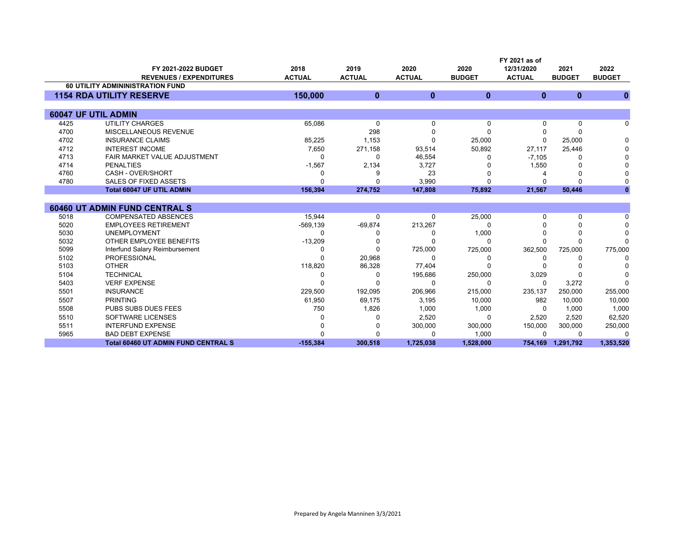|      | FY 2021 as of                              |               |               |               |               |               |               |               |
|------|--------------------------------------------|---------------|---------------|---------------|---------------|---------------|---------------|---------------|
|      | FY 2021-2022 BUDGET                        | 2018          | 2019          | 2020          | 2020          | 12/31/2020    | 2021          | 2022          |
|      | <b>REVENUES / EXPENDITURES</b>             | <b>ACTUAL</b> | <b>ACTUAL</b> | <b>ACTUAL</b> | <b>BUDGET</b> | <b>ACTUAL</b> | <b>BUDGET</b> | <b>BUDGET</b> |
|      | <b>60 UTILITY ADMININISTRATION FUND</b>    |               |               |               |               |               |               |               |
|      | <b>1154 RDA UTILITY RESERVE</b>            | 150,000       | $\bf{0}$      | $\bf{0}$      | $\bf{0}$      | $\mathbf{0}$  | $\bf{0}$      | $\bf{0}$      |
|      |                                            |               |               |               |               |               |               |               |
|      | 60047 UF UTIL ADMIN                        |               |               |               |               |               |               |               |
| 4425 | <b>UTILITY CHARGES</b>                     | 65,086        | 0             | 0             | 0             | $\Omega$      | 0             | 0             |
| 4700 | MISCELLANEOUS REVENUE                      |               | 298           |               | $\Omega$      |               | O             |               |
| 4702 | <b>INSURANCE CLAIMS</b>                    | 85,225        | 1,153         |               | 25,000        |               | 25,000        | 0             |
| 4712 | <b>INTEREST INCOME</b>                     | 7,650         | 271,158       | 93,514        | 50,892        | 27,117        | 25,446        |               |
| 4713 | <b>FAIR MARKET VALUE ADJUSTMENT</b>        | O             | $\Omega$      | 46,554        |               | $-7,105$      | 0             |               |
| 4714 | <b>PENALTIES</b>                           | $-1,567$      | 2,134         | 3,727         |               | 1,550         |               |               |
| 4760 | CASH - OVER/SHORT                          |               |               | 23            |               |               |               |               |
| 4780 | SALES OF FIXED ASSETS                      |               |               | 3,990         |               |               | $\Omega$      |               |
|      | <b>Total 60047 UF UTIL ADMIN</b>           | 156,394       | 274,752       | 147,808       | 75,892        | 21,567        | 50,446        |               |
|      |                                            |               |               |               |               |               |               |               |
|      | <b>60460 UT ADMIN FUND CENTRAL S</b>       |               |               |               |               |               |               |               |
| 5018 | <b>COMPENSATED ABSENCES</b>                | 15,944        | $\Omega$      | $\Omega$      | 25,000        | ŋ             | 0             | 0             |
| 5020 | <b>EMPLOYEES RETIREMENT</b>                | $-569, 139$   | $-69,874$     | 213,267       | <sup>0</sup>  |               | O             | $\Omega$      |
| 5030 | <b>UNEMPLOYMENT</b>                        |               |               |               | 1,000         |               | O             | 0             |
| 5032 | OTHER EMPLOYEE BENEFITS                    | $-13,209$     |               |               | O             |               | $\Omega$      |               |
| 5099 | Interfund Salary Reimbursement             |               |               | 725,000       | 725,000       | 362,500       | 725,000       | 775,000       |
| 5102 | <b>PROFESSIONAL</b>                        |               | 20,968        | $\Omega$      | 0             | 0             |               | $\Omega$      |
| 5103 | <b>OTHER</b>                               | 118,820       | 86,328        | 77,404        |               |               |               |               |
| 5104 | <b>TECHNICAL</b>                           | O             | n             | 195,686       | 250,000       | 3,029         |               |               |
| 5403 | <b>VERF EXPENSE</b>                        |               |               | $\Omega$      | 0             | $\Omega$      | 3,272         | <sup>0</sup>  |
| 5501 | <b>INSURANCE</b>                           | 229,500       | 192,095       | 206,966       | 215,000       | 235,137       | 250,000       | 255,000       |
| 5507 | <b>PRINTING</b>                            | 61,950        | 69,175        | 3,195         | 10,000        | 982           | 10,000        | 10,000        |
| 5508 | <b>PUBS SUBS DUES FEES</b>                 | 750           | 1,826         | 1,000         | 1,000         | $\Omega$      | 1,000         | 1,000         |
| 5510 | SOFTWARE LICENSES                          |               |               | 2,520         | 0             | 2,520         | 2,520         | 62,520        |
| 5511 | <b>INTERFUND EXPENSE</b>                   |               |               | 300,000       | 300,000       | 150,000       | 300,000       | 250,000       |
| 5965 | <b>BAD DEBT EXPENSE</b>                    |               |               | n             | 1,000         | $\Omega$      | 0             | $\Omega$      |
|      | <b>Total 60460 UT ADMIN FUND CENTRAL S</b> | $-155,384$    | 300,518       | 1,725,038     | 1,528,000     | 754,169       | 1,291,792     | 1,353,520     |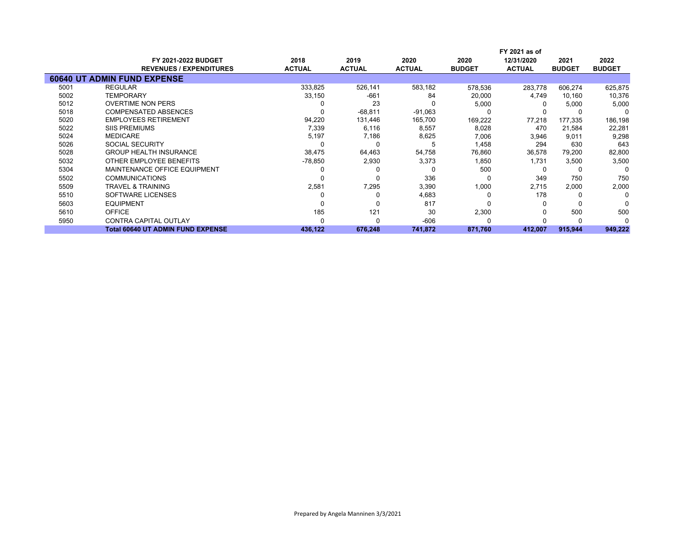|      |                                          |               |               |               | FY 2021 as of |               |               |               |
|------|------------------------------------------|---------------|---------------|---------------|---------------|---------------|---------------|---------------|
|      | <b>FY 2021-2022 BUDGET</b>               | 2018          | 2019          | 2020          | 2020          | 12/31/2020    | 2021          | 2022          |
|      | <b>REVENUES / EXPENDITURES</b>           | <b>ACTUAL</b> | <b>ACTUAL</b> | <b>ACTUAL</b> | <b>BUDGET</b> | <b>ACTUAL</b> | <b>BUDGET</b> | <b>BUDGET</b> |
|      | <b>60640 UT ADMIN FUND EXPENSE</b>       |               |               |               |               |               |               |               |
| 5001 | <b>REGULAR</b>                           | 333,825       | 526,141       | 583,182       | 578,536       | 283.778       | 606,274       | 625,875       |
| 5002 | <b>TEMPORARY</b>                         | 33,150        | $-661$        | 84            | 20,000        | 4,749         | 10,160        | 10,376        |
| 5012 | <b>OVERTIME NON PERS</b>                 |               | 23            |               | 5,000         |               | 5,000         | 5,000         |
| 5018 | <b>COMPENSATED ABSENCES</b>              |               | $-68,811$     | $-91,063$     |               |               |               | n             |
| 5020 | <b>EMPLOYEES RETIREMENT</b>              | 94,220        | 131,446       | 165,700       | 169,222       | 77,218        | 177,335       | 186,198       |
| 5022 | <b>SIIS PREMIUMS</b>                     | 7,339         | 6,116         | 8,557         | 8,028         | 470           | 21,584        | 22,281        |
| 5024 | <b>MEDICARE</b>                          | 5,197         | 7,186         | 8,625         | 7,006         | 3,946         | 9,011         | 9,298         |
| 5026 | SOCIAL SECURITY                          |               |               |               | 1,458         | 294           | 630           | 643           |
| 5028 | <b>GROUP HEALTH INSURANCE</b>            | 38,475        | 64,463        | 54,758        | 76,860        | 36,578        | 79,200        | 82,800        |
| 5032 | OTHER EMPLOYEE BENEFITS                  | $-78,850$     | 2,930         | 3,373         | 1,850         | 1,731         | 3,500         | 3,500         |
| 5304 | MAINTENANCE OFFICE EQUIPMENT             |               |               |               | 500           |               |               | 0             |
| 5502 | <b>COMMUNICATIONS</b>                    |               |               | 336           | -0            | 349           | 750           | 750           |
| 5509 | <b>TRAVEL &amp; TRAINING</b>             | 2,581         | 7,295         | 3,390         | 1,000         | 2,715         | 2,000         | 2,000         |
| 5510 | SOFTWARE LICENSES                        |               |               | 4,683         | -0            | 178           |               | O             |
| 5603 | <b>EQUIPMENT</b>                         |               |               | 817           |               |               |               |               |
| 5610 | <b>OFFICE</b>                            | 185           | 121           | 30            | 2,300         |               | 500           | 500           |
| 5950 | <b>CONTRA CAPITAL OUTLAY</b>             |               |               | $-606$        |               |               |               |               |
|      | <b>Total 60640 UT ADMIN FUND EXPENSE</b> | 436,122       | 676,248       | 741,872       | 871,760       | 412,007       | 915,944       | 949,222       |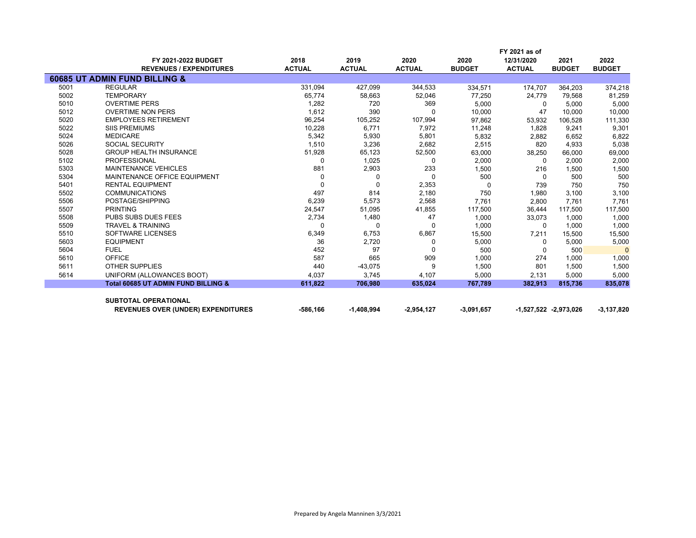|      |                                                |               |               |               |               | FY 2021 as of |                       |               |
|------|------------------------------------------------|---------------|---------------|---------------|---------------|---------------|-----------------------|---------------|
|      | <b>FY 2021-2022 BUDGET</b>                     | 2018          | 2019          | 2020          | 2020          | 12/31/2020    | 2021                  | 2022          |
|      | <b>REVENUES / EXPENDITURES</b>                 | <b>ACTUAL</b> | <b>ACTUAL</b> | <b>ACTUAL</b> | <b>BUDGET</b> | <b>ACTUAL</b> | <b>BUDGET</b>         | <b>BUDGET</b> |
|      | 60685 UT ADMIN FUND BILLING &                  |               |               |               |               |               |                       |               |
| 5001 | <b>REGULAR</b>                                 | 331,094       | 427,099       | 344,533       | 334,571       | 174,707       | 364,203               | 374,218       |
| 5002 | <b>TEMPORARY</b>                               | 65,774        | 58,663        | 52,046        | 77,250        | 24,779        | 79,568                | 81,259        |
| 5010 | <b>OVERTIME PERS</b>                           | 1,282         | 720           | 369           | 5.000         | $\Omega$      | 5,000                 | 5,000         |
| 5012 | <b>OVERTIME NON PERS</b>                       | 1,612         | 390           | $\Omega$      | 10,000        | 47            | 10,000                | 10,000        |
| 5020 | <b>EMPLOYEES RETIREMENT</b>                    | 96,254        | 105,252       | 107,994       | 97,862        | 53,932        | 106,528               | 111,330       |
| 5022 | <b>SIIS PREMIUMS</b>                           | 10,228        | 6,771         | 7,972         | 11,248        | 1,828         | 9,241                 | 9,301         |
| 5024 | <b>MEDICARE</b>                                | 5,342         | 5,930         | 5,801         | 5,832         | 2,882         | 6,652                 | 6,822         |
| 5026 | <b>SOCIAL SECURITY</b>                         | 1,510         | 3,236         | 2,682         | 2,515         | 820           | 4,933                 | 5,038         |
| 5028 | <b>GROUP HEALTH INSURANCE</b>                  | 51,928        | 65,123        | 52,500        | 63,000        | 38,250        | 66,000                | 69,000        |
| 5102 | <b>PROFESSIONAL</b>                            | 0             | 1,025         | 0             | 2,000         | $\Omega$      | 2,000                 | 2,000         |
| 5303 | <b>MAINTENANCE VEHICLES</b>                    | 881           | 2,903         | 233           | 1,500         | 216           | 1,500                 | 1,500         |
| 5304 | MAINTENANCE OFFICE EQUIPMENT                   | $\Omega$      | $\Omega$      | $\Omega$      | 500           | $\Omega$      | 500                   | 500           |
| 5401 | <b>RENTAL EQUIPMENT</b>                        | $\Omega$      | $\Omega$      | 2,353         | $\Omega$      | 739           | 750                   | 750           |
| 5502 | <b>COMMUNICATIONS</b>                          | 497           | 814           | 2,180         | 750           | 1,980         | 3,100                 | 3,100         |
| 5506 | POSTAGE/SHIPPING                               | 6,239         | 5,573         | 2,568         | 7,761         | 2,800         | 7,761                 | 7,761         |
| 5507 | <b>PRINTING</b>                                | 24,547        | 51,095        | 41,855        | 117,500       | 36,444        | 117,500               | 117,500       |
| 5508 | <b>PUBS SUBS DUES FEES</b>                     | 2,734         | 1,480         | 47            | 1,000         | 33,073        | 1.000                 | 1,000         |
| 5509 | <b>TRAVEL &amp; TRAINING</b>                   | 0             | $\Omega$      | $\Omega$      | 1,000         | $\Omega$      | 1,000                 | 1,000         |
| 5510 | SOFTWARE LICENSES                              | 6,349         | 6,753         | 6,867         | 15,500        | 7,211         | 15,500                | 15,500        |
| 5603 | <b>EQUIPMENT</b>                               | 36            | 2,720         | $\Omega$      | 5,000         | $\Omega$      | 5,000                 | 5,000         |
| 5604 | <b>FUEL</b>                                    | 452           | 97            | <sup>0</sup>  | 500           | 0             | 500                   | $\Omega$      |
| 5610 | <b>OFFICE</b>                                  | 587           | 665           | 909           | 1,000         | 274           | 1,000                 | 1,000         |
| 5611 | <b>OTHER SUPPLIES</b>                          | 440           | $-43,075$     | 9             | 1,500         | 801           | 1,500                 | 1,500         |
| 5614 | UNIFORM (ALLOWANCES BOOT)                      | 4,037         | 3,745         | 4,107         | 5,000         | 2,131         | 5,000                 | 5,000         |
|      | <b>Total 60685 UT ADMIN FUND BILLING &amp;</b> | 611,822       | 706,980       | 635,024       | 767,789       | 382,913       | 815,736               | 835,078       |
|      | <b>SUBTOTAL OPERATIONAL</b>                    |               |               |               |               |               |                       |               |
|      | <b>REVENUES OVER (UNDER) EXPENDITURES</b>      | -586,166      | $-1,408,994$  | $-2,954,127$  | $-3,091,657$  |               | -1,527,522 -2,973,026 | $-3,137,820$  |
|      |                                                |               |               |               |               |               |                       |               |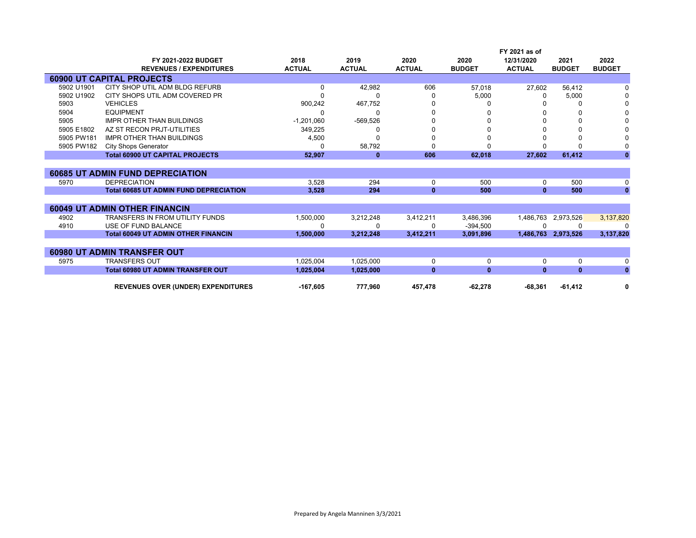|            |                                               |               |               |               |               | FY 2021 as of |                     |               |
|------------|-----------------------------------------------|---------------|---------------|---------------|---------------|---------------|---------------------|---------------|
|            | <b>FY 2021-2022 BUDGET</b>                    | 2018          | 2019          | 2020          | 2020          | 12/31/2020    | 2021                | 2022          |
|            | <b>REVENUES / EXPENDITURES</b>                | <b>ACTUAL</b> | <b>ACTUAL</b> | <b>ACTUAL</b> | <b>BUDGET</b> | <b>ACTUAL</b> | <b>BUDGET</b>       | <b>BUDGET</b> |
|            | <b>60900 UT CAPITAL PROJECTS</b>              |               |               |               |               |               |                     |               |
| 5902 U1901 | CITY SHOP UTIL ADM BLDG REFURB                | 0             | 42,982        | 606           | 57.018        | 27,602        | 56,412              |               |
| 5902 U1902 | CITY SHOPS UTIL ADM COVERED PR                |               | 0             |               | 5,000         | 0             | 5,000               |               |
| 5903       | <b>VEHICLES</b>                               | 900,242       | 467,752       |               |               |               | 0                   |               |
| 5904       | <b>EQUIPMENT</b>                              | 0             | 0             |               |               |               | 0                   |               |
| 5905       | <b>IMPR OTHER THAN BUILDINGS</b>              | $-1,201,060$  | $-569,526$    |               |               |               | 0                   |               |
| 5905 E1802 | AZ ST RECON PRJT-UTILITIES                    | 349,225       | 0             |               |               |               | 0                   |               |
| 5905 PW181 | <b>IMPR OTHER THAN BUILDINGS</b>              | 4,500         | O             |               |               |               | 0                   |               |
| 5905 PW182 | <b>City Shops Generator</b>                   | 0             | 58,792        |               |               |               | <sup>0</sup>        |               |
|            | <b>Total 60900 UT CAPITAL PROJECTS</b>        | 52,907        | $\bf{0}$      | 606           | 62,018        | 27,602        | 61,412              | $\mathbf{0}$  |
|            |                                               |               |               |               |               |               |                     |               |
|            | <b>60685 UT ADMIN FUND DEPRECIATION</b>       |               |               |               |               |               |                     |               |
| 5970       | <b>DEPRECIATION</b>                           | 3,528         | 294           | 0             | 500           | 0             | 500                 | 0             |
|            | <b>Total 60685 UT ADMIN FUND DEPRECIATION</b> | 3.528         | 294           | $\bf{0}$      | 500           | $\mathbf{0}$  | 500                 | $\mathbf{0}$  |
|            |                                               |               |               |               |               |               |                     |               |
|            | <b>60049 UT ADMIN OTHER FINANCIN</b>          |               |               |               |               |               |                     |               |
| 4902       | <b>TRANSFERS IN FROM UTILITY FUNDS</b>        | 1,500,000     | 3,212,248     | 3,412,211     | 3,486,396     | 1,486,763     | 2,973,526           | 3,137,820     |
| 4910       | USE OF FUND BALANCE                           | n             | 0             | n             | $-394.500$    |               | 0                   | $\Omega$      |
|            | <b>Total 60049 UT ADMIN OTHER FINANCIN</b>    | 1,500,000     | 3,212,248     | 3,412,211     | 3,091,896     |               | 1,486,763 2,973,526 | 3,137,820     |
|            |                                               |               |               |               |               |               |                     |               |
|            | <b>60980 UT ADMIN TRANSFER OUT</b>            |               |               |               |               |               |                     |               |
| 5975       | <b>TRANSFERS OUT</b>                          | 1,025,004     | 1,025,000     | 0             | 0             | 0             | 0                   | 0             |
|            | <b>Total 60980 UT ADMIN TRANSFER OUT</b>      | 1,025,004     | 1,025,000     | $\bf{0}$      | $\mathbf{0}$  | $\mathbf{0}$  | $\mathbf{0}$        | $\mathbf{0}$  |
|            |                                               |               |               |               |               |               |                     |               |
|            | <b>REVENUES OVER (UNDER) EXPENDITURES</b>     | $-167,605$    | 777,960       | 457,478       | $-62,278$     | $-68,361$     | $-61,412$           | 0             |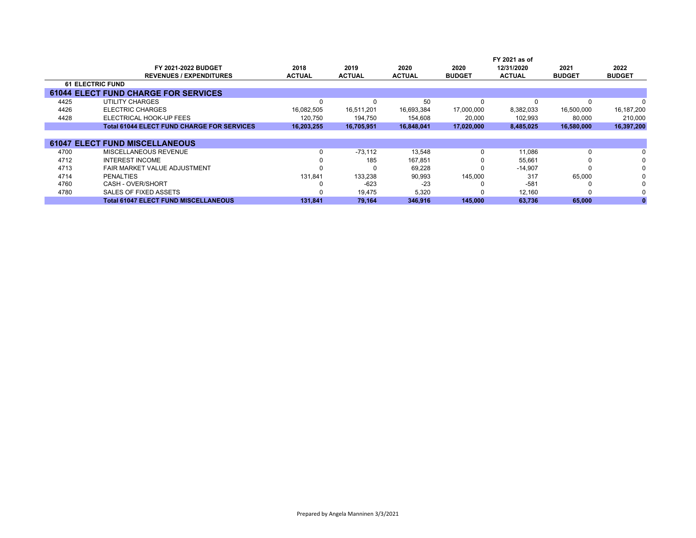|      | FY 2021 as of                                     |               |               |               |               |               |               |               |
|------|---------------------------------------------------|---------------|---------------|---------------|---------------|---------------|---------------|---------------|
|      | <b>FY 2021-2022 BUDGET</b>                        | 2018          | 2019          | 2020          | 2020          | 12/31/2020    | 2021          | 2022          |
|      | <b>REVENUES / EXPENDITURES</b>                    | <b>ACTUAL</b> | <b>ACTUAL</b> | <b>ACTUAL</b> | <b>BUDGET</b> | <b>ACTUAL</b> | <b>BUDGET</b> | <b>BUDGET</b> |
|      | <b>61 ELECTRIC FUND</b>                           |               |               |               |               |               |               |               |
|      | <b>61044 ELECT FUND CHARGE FOR SERVICES</b>       |               |               |               |               |               |               |               |
| 4425 | UTILITY CHARGES                                   | $\Omega$      |               | 50            | 0             |               | <sup>0</sup>  |               |
| 4426 | <b>ELECTRIC CHARGES</b>                           | 16,082,505    | 16,511,201    | 16,693,384    | 17,000,000    | 8,382,033     | 16,500,000    | 16,187,200    |
| 4428 | ELECTRICAL HOOK-UP FEES                           | 120,750       | 194,750       | 154,608       | 20,000        | 102,993       | 80,000        | 210,000       |
|      | <b>Total 61044 ELECT FUND CHARGE FOR SERVICES</b> | 16,203,255    | 16,705,951    | 16,848,041    | 17,020,000    | 8,485,025     | 16,580,000    | 16,397,200    |
|      |                                                   |               |               |               |               |               |               |               |
|      | <b>61047 ELECT FUND MISCELLANEOUS</b>             |               |               |               |               |               |               |               |
| 4700 | MISCELLANEOUS REVENUE                             | 0             | $-73.112$     | 13,548        | 0             | 11,086        | 0             |               |
| 4712 | <b>INTEREST INCOME</b>                            | $\Omega$      | 185           | 167,851       | 0             | 55.661        |               | 0             |
| 4713 | FAIR MARKET VALUE ADJUSTMENT                      | <sup>0</sup>  |               | 69.228        | <sup>0</sup>  | $-14,907$     |               | 0             |
| 4714 | <b>PENALTIES</b>                                  | 131,841       | 133,238       | 90,993        | 145,000       | 317           | 65,000        |               |
| 4760 | CASH - OVER/SHORT                                 | 0             | $-623$        | $-23$         |               | $-581$        |               |               |
| 4780 | SALES OF FIXED ASSETS                             | <sup>0</sup>  | 19,475        | 5,320         | <sup>0</sup>  | 12,160        |               |               |
|      | <b>Total 61047 ELECT FUND MISCELLANEOUS</b>       | 131,841       | 79,164        | 346,916       | 145,000       | 63,736        | 65,000        |               |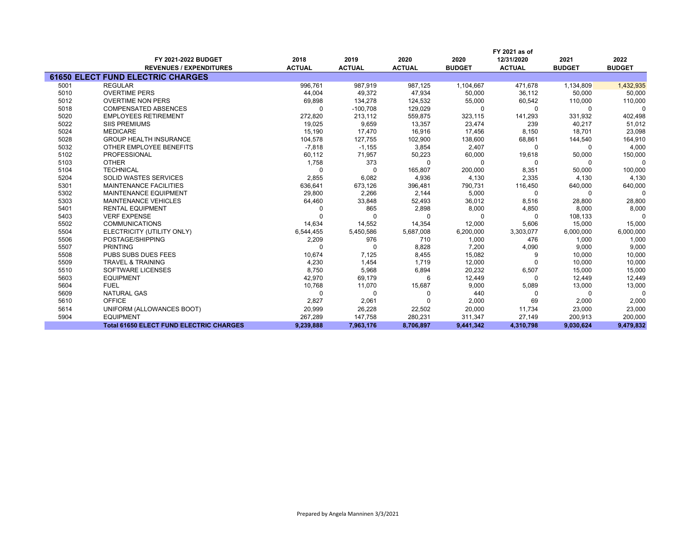|      | FY 2021 as of                                  |               |               |               |               |               |               |               |
|------|------------------------------------------------|---------------|---------------|---------------|---------------|---------------|---------------|---------------|
|      | FY 2021-2022 BUDGET                            | 2018          | 2019          | 2020          | 2020          | 12/31/2020    | 2021          | 2022          |
|      | <b>REVENUES / EXPENDITURES</b>                 | <b>ACTUAL</b> | <b>ACTUAL</b> | <b>ACTUAL</b> | <b>BUDGET</b> | <b>ACTUAL</b> | <b>BUDGET</b> | <b>BUDGET</b> |
|      | <b>61650 ELECT FUND ELECTRIC CHARGES</b>       |               |               |               |               |               |               |               |
| 5001 | <b>REGULAR</b>                                 | 996.761       | 987.919       | 987.125       | 1,104,667     | 471.678       | 1,134,809     | 1,432,935     |
| 5010 | <b>OVERTIME PERS</b>                           | 44,004        | 49,372        | 47,934        | 50,000        | 36,112        | 50,000        | 50,000        |
| 5012 | <b>OVERTIME NON PERS</b>                       | 69,898        | 134,278       | 124,532       | 55,000        | 60,542        | 110,000       | 110,000       |
| 5018 | <b>COMPENSATED ABSENCES</b>                    | $\Omega$      | $-100,708$    | 129,029       | 0             | $\Omega$      | 0             | $\Omega$      |
| 5020 | <b>EMPLOYEES RETIREMENT</b>                    | 272,820       | 213,112       | 559,875       | 323,115       | 141,293       | 331,932       | 402,498       |
| 5022 | <b>SIIS PREMIUMS</b>                           | 19,025        | 9,659         | 13,357        | 23,474        | 239           | 40,217        | 51,012        |
| 5024 | <b>MEDICARE</b>                                | 15,190        | 17,470        | 16,916        | 17,456        | 8,150         | 18,701        | 23,098        |
| 5028 | <b>GROUP HEALTH INSURANCE</b>                  | 104,578       | 127,755       | 102,900       | 138,600       | 68,861        | 144,540       | 164,910       |
| 5032 | OTHER EMPLOYEE BENEFITS                        | $-7,818$      | $-1,155$      | 3,854         | 2,407         | $\Omega$      | 0             | 4,000         |
| 5102 | PROFESSIONAL                                   | 60,112        | 71,957        | 50,223        | 60,000        | 19,618        | 50,000        | 150,000       |
| 5103 | <b>OTHER</b>                                   | 1,758         | 373           | $\Omega$      | $\mathbf 0$   | $\Omega$      | 0             | 0             |
| 5104 | <b>TECHNICAL</b>                               | $\Omega$      | $\Omega$      | 165,807       | 200,000       | 8,351         | 50,000        | 100,000       |
| 5204 | <b>SOLID WASTES SERVICES</b>                   | 2,855         | 6,082         | 4,936         | 4,130         | 2,335         | 4,130         | 4,130         |
| 5301 | <b>MAINTENANCE FACILITIES</b>                  | 636,641       | 673,126       | 396,481       | 790,731       | 116,450       | 640,000       | 640,000       |
| 5302 | <b>MAINTENANCE EQUIPMENT</b>                   | 29,800        | 2,266         | 2,144         | 5,000         | $\Omega$      | $\Omega$      | $\Omega$      |
| 5303 | <b>MAINTENANCE VEHICLES</b>                    | 64,460        | 33,848        | 52,493        | 36,012        | 8,516         | 28,800        | 28,800        |
| 5401 | <b>RENTAL EQUIPMENT</b>                        |               | 865           | 2,898         | 8,000         | 4,850         | 8,000         | 8,000         |
| 5403 | <b>VERF EXPENSE</b>                            |               | U             | $\Omega$      | U             | <sup>0</sup>  | 108,133       | $\Omega$      |
| 5502 | <b>COMMUNICATIONS</b>                          | 14,634        | 14,552        | 14,354        | 12,000        | 5,606         | 15,000        | 15,000        |
| 5504 | ELECTRICITY (UTILITY ONLY)                     | 6,544,455     | 5,450,586     | 5,687,008     | 6,200,000     | 3,303,077     | 6,000,000     | 6,000,000     |
| 5506 | POSTAGE/SHIPPING                               | 2,209         | 976           | 710           | 1,000         | 476           | 1,000         | 1,000         |
| 5507 | <b>PRINTING</b>                                | <sup>0</sup>  | <sup>0</sup>  | 8,828         | 7,200         | 4,090         | 9,000         | 9,000         |
| 5508 | PUBS SUBS DUES FEES                            | 10,674        | 7,125         | 8,455         | 15,082        | 9             | 10,000        | 10,000        |
| 5509 | <b>TRAVEL &amp; TRAINING</b>                   | 4,230         | 1,454         | 1.719         | 12,000        |               | 10,000        | 10,000        |
| 5510 | <b>SOFTWARE LICENSES</b>                       | 8,750         | 5,968         | 6,894         | 20,232        | 6,507         | 15,000        | 15,000        |
| 5603 | <b>EQUIPMENT</b>                               | 42,970        | 69,179        | 6             | 12,449        | $\Omega$      | 12,449        | 12,449        |
| 5604 | <b>FUEL</b>                                    | 10,768        | 11,070        | 15,687        | 9,000         | 5,089         | 13,000        | 13,000        |
| 5609 | <b>NATURAL GAS</b>                             | $\Omega$      | $\Omega$      |               | 440           | <sup>0</sup>  | $\Omega$      | $\Omega$      |
| 5610 | <b>OFFICE</b>                                  | 2,827         | 2,061         |               | 2,000         | 69            | 2,000         | 2,000         |
| 5614 | UNIFORM (ALLOWANCES BOOT)                      | 20,999        | 26,228        | 22,502        | 20,000        | 11,734        | 23,000        | 23,000        |
| 5904 | <b>EQUIPMENT</b>                               | 267,289       | 147,758       | 280,231       | 311,347       | 27,149        | 200,913       | 200,000       |
|      | <b>Total 61650 ELECT FUND ELECTRIC CHARGES</b> | 9,239,888     | 7,963,176     | 8,706,897     | 9,441,342     | 4,310,798     | 9,030,624     | 9,479,832     |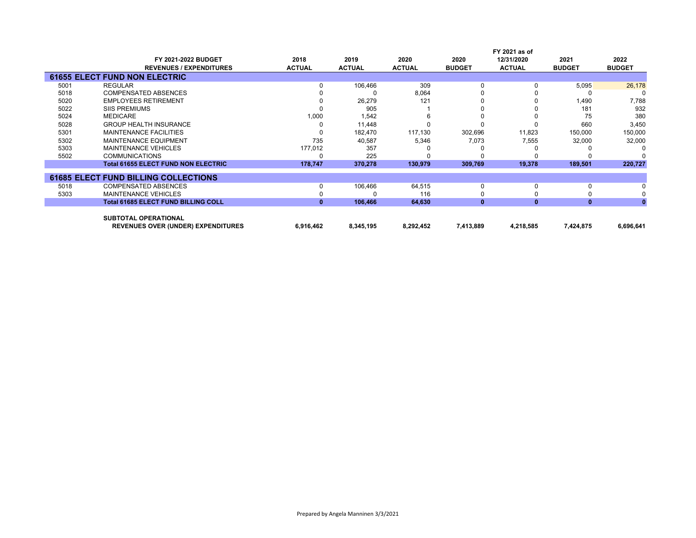|      | FY 2021 as of                                                            |               |               |               |               |               |               |               |
|------|--------------------------------------------------------------------------|---------------|---------------|---------------|---------------|---------------|---------------|---------------|
|      | <b>FY 2021-2022 BUDGET</b>                                               | 2018          | 2019          | 2020          | 2020          | 12/31/2020    | 2021          | 2022          |
|      | <b>REVENUES / EXPENDITURES</b>                                           | <b>ACTUAL</b> | <b>ACTUAL</b> | <b>ACTUAL</b> | <b>BUDGET</b> | <b>ACTUAL</b> | <b>BUDGET</b> | <b>BUDGET</b> |
|      | <b>61655 ELECT FUND NON ELECTRIC</b>                                     |               |               |               |               |               |               |               |
| 5001 | <b>REGULAR</b>                                                           | 0             | 106,466       | 309           | O             |               | 5,095         | 26,178        |
| 5018 | <b>COMPENSATED ABSENCES</b>                                              |               |               | 8,064         |               |               |               |               |
| 5020 | <b>EMPLOYEES RETIREMENT</b>                                              | 0             | 26,279        | 121           |               |               | 1,490         | 7,788         |
| 5022 | <b>SIIS PREMIUMS</b>                                                     | ŋ             | 905           |               |               |               | 181           | 932           |
| 5024 | MEDICARE                                                                 | 1,000         | 1,542         |               |               |               | 75            | 380           |
| 5028 | <b>GROUP HEALTH INSURANCE</b>                                            | 0             | 11,448        |               |               |               | 660           | 3,450         |
| 5301 | <b>MAINTENANCE FACILITIES</b>                                            | 0             | 182,470       | 117,130       | 302,696       | 11,823        | 150,000       | 150,000       |
| 5302 | <b>MAINTENANCE EQUIPMENT</b>                                             | 735           | 40,587        | 5,346         | 7,073         | 7,555         | 32,000        | 32,000        |
| 5303 | <b>MAINTENANCE VEHICLES</b>                                              | 177,012       | 357           |               |               |               |               |               |
| 5502 | <b>COMMUNICATIONS</b>                                                    | 0             | 225           |               |               |               |               |               |
|      | <b>Total 61655 ELECT FUND NON ELECTRIC</b>                               | 178,747       | 370,278       | 130,979       | 309,769       | 19,378        | 189,501       | 220,727       |
|      | <b>61685 ELECT FUND BILLING COLLECTIONS</b>                              |               |               |               |               |               |               |               |
| 5018 | <b>COMPENSATED ABSENCES</b>                                              | 0             | 106,466       | 64,515        | $\Omega$      |               | 0             |               |
| 5303 | <b>MAINTENANCE VEHICLES</b>                                              | 0             |               | 116           |               |               |               |               |
|      | <b>Total 61685 ELECT FUND BILLING COLL</b>                               | $\mathbf{0}$  | 106,466       | 64,630        | $\mathbf{0}$  | $\bf{0}$      | $\mathbf{0}$  |               |
|      | <b>SUBTOTAL OPERATIONAL</b><br><b>REVENUES OVER (UNDER) EXPENDITURES</b> | 6,916,462     | 8,345,195     | 8,292,452     | 7,413,889     | 4,218,585     | 7,424,875     | 6,696,641     |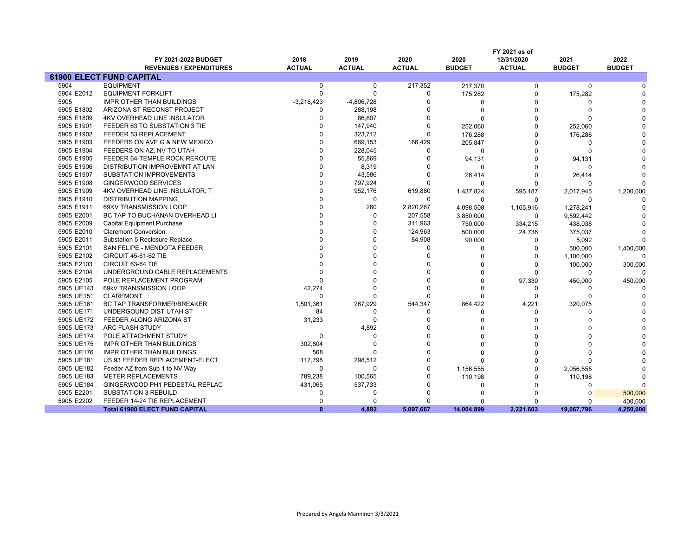|            |                                       |               |               |               |               | FY 2021 as of |               |               |
|------------|---------------------------------------|---------------|---------------|---------------|---------------|---------------|---------------|---------------|
|            | FY 2021-2022 BUDGET                   | 2018          | 2019          | 2020          | 2020          | 12/31/2020    | 2021          | 2022          |
|            | <b>REVENUES / EXPENDITURES</b>        | <b>ACTUAL</b> | <b>ACTUAL</b> | <b>ACTUAL</b> | <b>BUDGET</b> | <b>ACTUAL</b> | <b>BUDGET</b> | <b>BUDGET</b> |
|            | <b>61900 ELECT FUND CAPITAL</b>       |               |               |               |               |               |               |               |
| 5904       | <b>EQUIPMENT</b>                      | $\mathbf 0$   | $\mathbf 0$   | 217,352       | 217,370       | $\Omega$      | $\Omega$      |               |
| 5904 E2012 | <b>EQUIPMENT FORKLIFT</b>             | $\mathbf 0$   | $\Omega$      | 0             | 175,282       | 0             | 175,282       |               |
| 5905       | <b>IMPR OTHER THAN BUILDINGS</b>      | $-3,216,423$  | $-4,806,728$  | $\Omega$      | $\Omega$      | O             |               |               |
| 5905 E1802 | ARIZONA ST RECONST PROJECT            | $\Omega$      | 288,198       | O             | $\Omega$      | O             |               |               |
| 5905 E1809 | <b>4KV OVERHEAD LINE INSULATOR</b>    | $\Omega$      | 86,807        | $\Omega$      | $\Omega$      | $\Omega$      |               |               |
| 5905 E1901 | FEEDER 63 TO SUBSTATION 3 TIE         |               | 147,940       | $\Omega$      | 252,060       | $\Omega$      | 252,060       |               |
| 5905 E1902 | FEEDER 53 REPLACEMENT                 | $\Omega$      | 323,712       | $\Omega$      | 176,288       | $\Omega$      | 176,288       |               |
| 5905 E1903 | FEEDERS ON AVE G & NEW MEXICO         | $\Omega$      | 669,153       | 166,429       | 205,847       | $\Omega$      | $\Omega$      |               |
| 5905 E1904 | FEEDERS ON AZ, NV TO UTAH             | $\Omega$      | 228,045       | 0             | $\mathbf 0$   | $\Omega$      | $\Omega$      |               |
| 5905 E1905 | FEEDER 64-TEMPLE ROCK REROUTE         | $\Omega$      | 55,869        | O             | 94,131        | $\Omega$      | 94,131        |               |
| 5905 E1906 | DISTRIBUTION IMPROVEMNT AT LAN        | $\Omega$      | 8,319         | 0             | 0             | $\Omega$      | $\Omega$      |               |
| 5905 E1907 | <b>SUBSTATION IMPROVEMENTS</b>        | $\Omega$      | 43,586        | 0             | 26,414        | O             | 26,414        |               |
| 5905 E1908 | <b>GINGERWOOD SERVICES</b>            | $\Omega$      | 797,924       | $\Omega$      | $\Omega$      | ŋ             | $\Omega$      |               |
| 5905 E1909 | 4KV OVERHEAD LINE INSULATOR, T        | $\Omega$      | 952,176       | 619,880       | 1,437,824     | 595,187       | 2,017,945     | 1,200,000     |
| 5905 E1910 | <b>DISTRIBUTION MAPPING</b>           | $\Omega$      | $\Omega$      | $\Omega$      | $\Omega$      | $\Omega$      | $\Omega$      |               |
| 5905 E1911 | 69KV TRANSMISSION LOOP                | $\Omega$      | 260           | 2,820,267     | 4,098,508     | 1,165,916     | 1,278,241     |               |
| 5905 E2001 | BC TAP TO BUCHANAN OVERHEAD LI        | $\Omega$      | $\Omega$      | 207,558       | 3,850,000     | 0             | 9,592,442     |               |
| 5905 E2009 | <b>Capital Equipment Purchase</b>     |               | $\Omega$      | 311,963       | 750,000       | 334,215       | 438,038       |               |
| 5905 E2010 | <b>Claremont Conversion</b>           |               |               | 124,963       | 500,000       | 24,736        | 375,037       |               |
| 5905 E2011 | Substation 5 Reclosure Replace        |               |               | 84,908        | 90,000        | 0             | 5,092         |               |
| 5905 E2101 | SAN FELIPE - MENDOTA FEEDER           |               |               | 0             | $\Omega$      | $\Omega$      | 500,000       | 1,400,000     |
| 5905 E2102 | <b>CIRCUIT 45-61-62 TIE</b>           |               |               | $\Omega$      |               | $\Omega$      | 1,100,000     |               |
| 5905 E2103 | CIRCUIT 63-64 TIE                     |               |               |               |               | $\Omega$      | 100,000       | 300,000       |
| 5905 E2104 | UNDERGROUND CABLE REPLACEMENTS        |               |               |               |               | $\Omega$      | $\Omega$      |               |
| 5905 E2105 | POLE REPLACEMENT PROGRAM              |               |               | $\Omega$      |               | 97,330        | 450,000       | 450,000       |
| 5905 UE143 | 69kV TRANSMISSION LOOP                | 42,274        |               | $\Omega$      |               | $\Omega$      |               |               |
| 5905 UE151 | <b>CLAREMONT</b>                      | $\Omega$      |               | $\Omega$      |               | $\Omega$      | $\Omega$      |               |
| 5905 UE161 | BC TAP TRANSFORMER/BREAKER            | 1,501,361     | 267,929       | 544,347       | 864,422       | 4,221         | 320,075       |               |
| 5905 UE171 | UNDERGOUND DIST UTAH ST               | 84            | $\Omega$      | 0             | $\Omega$      | $\Omega$      | $\Omega$      |               |
| 5905 UE172 | FEEDER ALONG ARIZONA ST               | 31,233        | $\Omega$      | $\Omega$      |               | O             |               |               |
| 5905 UE173 | ARC FLASH STUDY                       |               | 4,892         |               |               | ŋ             |               |               |
| 5905 UE174 | POLE ATTACHMENT STUDY                 | $\mathbf 0$   | $\Omega$      | $\Omega$      |               |               |               |               |
| 5905 UE175 | IMPR OTHER THAN BUILDINGS             | 302,804       | $\Omega$      | $\Omega$      |               | O             |               |               |
| 5905 UE176 | IMPR OTHER THAN BUILDINGS             | 568           |               | $\Omega$      | ŋ             | ŋ             |               |               |
| 5905 UE181 | US 93 FEEDER REPLACEMENT-ELECT        | 117,798       | 298,512       | $\Omega$      | $\Omega$      | $\Omega$      |               |               |
| 5905 UE182 | Feeder AZ from Sub 1 to NV Way        | 0             | $\Omega$      | $\Omega$      | 1,156,555     | $\Omega$      | 2,056,555     |               |
| 5905 UE183 | <b>METER REPLACEMENTS</b>             | 789,238       | 100,565       | O             | 110,198       | O             | 110,198       |               |
| 5905 UE184 | GINGERWOOD PH1 PEDESTAL REPLAC        | 431,065       | 537,733       | 0             | $\Omega$      | $\Omega$      | $\Omega$      |               |
| 5905 E2201 | <b>SUBSTATION 3 REBUILD</b>           | $\Omega$      | $\Omega$      | 0             |               | O             |               | 500,000       |
| 5905 E2202 | FEEDER 14-24 TIE REPLACEMENT          | $\Omega$      | n             | $\Omega$      | n             | ŋ             | $\Omega$      | 400,000       |
|            | <b>Total 61900 ELECT FUND CAPITAL</b> | $\mathbf{0}$  | 4,892         | 5,097,667     | 14,004,899    | 2,221,603     | 19,067,796    | 4,250,000     |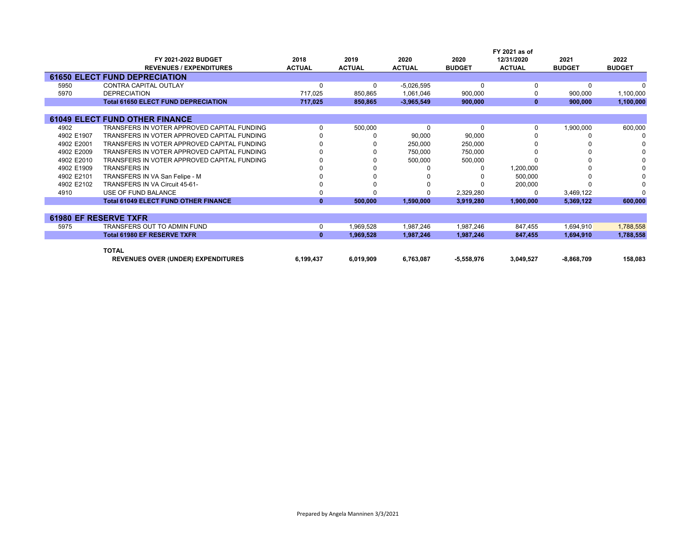|            |                                             |               |               |               |               | FY 2021 as of |               |               |
|------------|---------------------------------------------|---------------|---------------|---------------|---------------|---------------|---------------|---------------|
|            | FY 2021-2022 BUDGET                         | 2018          | 2019          | 2020          | 2020          | 12/31/2020    | 2021          | 2022          |
|            | <b>REVENUES / EXPENDITURES</b>              | <b>ACTUAL</b> | <b>ACTUAL</b> | <b>ACTUAL</b> | <b>BUDGET</b> | <b>ACTUAL</b> | <b>BUDGET</b> | <b>BUDGET</b> |
|            | <b>61650 ELECT FUND DEPRECIATION</b>        |               |               |               |               |               |               |               |
| 5950       | <b>CONTRA CAPITAL OUTLAY</b>                |               | 0             | $-5,026,595$  | 0             |               | $\Omega$      |               |
| 5970       | <b>DEPRECIATION</b>                         | 717,025       | 850,865       | 1,061,046     | 900,000       |               | 900,000       | 1,100,000     |
|            | <b>Total 61650 ELECT FUND DEPRECIATION</b>  | 717,025       | 850,865       | $-3,965,549$  | 900,000       | $\bf{0}$      | 900,000       | 1,100,000     |
|            |                                             |               |               |               |               |               |               |               |
|            | <b>61049 ELECT FUND OTHER FINANCE</b>       |               |               |               |               |               |               |               |
| 4902       | TRANSFERS IN VOTER APPROVED CAPITAL FUNDING |               | 500,000       | 0             | 0             |               | 1,900,000     | 600,000       |
| 4902 E1907 | TRANSFERS IN VOTER APPROVED CAPITAL FUNDING |               |               | 90,000        | 90,000        |               |               |               |
| 4902 E2001 | TRANSFERS IN VOTER APPROVED CAPITAL FUNDING |               |               | 250,000       | 250,000       |               |               |               |
| 4902 E2009 | TRANSFERS IN VOTER APPROVED CAPITAL FUNDING |               |               | 750,000       | 750,000       |               |               |               |
| 4902 E2010 | TRANSFERS IN VOTER APPROVED CAPITAL FUNDING |               |               | 500,000       | 500,000       |               |               |               |
| 4902 E1909 | <b>TRANSFERS IN</b>                         |               |               |               |               | 1,200,000     |               |               |
| 4902 E2101 | TRANSFERS IN VA San Felipe - M              |               |               |               |               | 500,000       |               |               |
| 4902 E2102 | TRANSFERS IN VA Circuit 45-61-              |               |               |               |               | 200,000       |               |               |
| 4910       | USE OF FUND BALANCE                         |               |               |               | 2,329,280     |               | 3,469,122     | n             |
|            | <b>Total 61049 ELECT FUND OTHER FINANCE</b> | $\mathbf{0}$  | 500,000       | 1,590,000     | 3,919,280     | 1,900,000     | 5,369,122     | 600,000       |
|            |                                             |               |               |               |               |               |               |               |
|            | <b>61980 EF RESERVE TXFR</b>                |               |               |               |               |               |               |               |
| 5975       | TRANSFERS OUT TO ADMIN FUND                 | 0             | 1,969,528     | 1,987,246     | 1,987,246     | 847,455       | 1,694,910     | 1,788,558     |
|            | <b>Total 61980 EF RESERVE TXFR</b>          | $\mathbf{0}$  | 1,969,528     | 1,987,246     | 1.987.246     | 847,455       | 1,694,910     | 1,788,558     |
|            | <b>TOTAL</b>                                |               |               |               |               |               |               |               |
|            | <b>REVENUES OVER (UNDER) EXPENDITURES</b>   | 6,199,437     | 6,019,909     | 6,763,087     | $-5,558,976$  | 3,049,527     | $-8,868,709$  | 158,083       |
|            |                                             |               |               |               |               |               |               |               |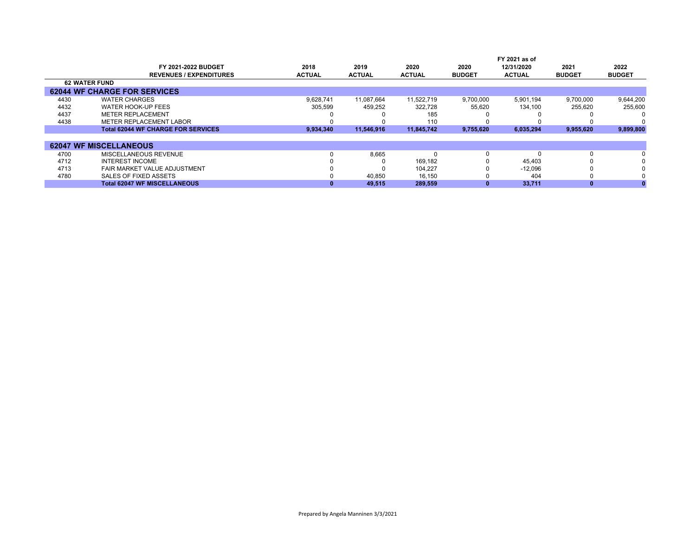|      | FY 2021-2022 BUDGET<br><b>REVENUES / EXPENDITURES</b> | 2018<br><b>ACTUAL</b> | 2019<br><b>ACTUAL</b> | 2020<br><b>ACTUAL</b> | 2020<br><b>BUDGET</b> | FY 2021 as of<br>12/31/2020<br><b>ACTUAL</b> | 2021<br><b>BUDGET</b> | 2022<br><b>BUDGET</b> |
|------|-------------------------------------------------------|-----------------------|-----------------------|-----------------------|-----------------------|----------------------------------------------|-----------------------|-----------------------|
|      | <b>62 WATER FUND</b>                                  |                       |                       |                       |                       |                                              |                       |                       |
|      | <b>62044 WF CHARGE FOR SERVICES</b>                   |                       |                       |                       |                       |                                              |                       |                       |
| 4430 | <b>WATER CHARGES</b>                                  | 9.628.741             | 11.087.664            | 11.522.719            | 9,700,000             | 5.901.194                                    | 9.700.000             | 9,644,200             |
| 4432 | WATER HOOK-UP FEES                                    | 305,599               | 459,252               | 322,728               | 55,620                | 134.100                                      | 255,620               | 255,600               |
| 4437 | <b>METER REPLACEMENT</b>                              |                       |                       | 185                   |                       |                                              |                       |                       |
| 4438 | METER REPLACEMENT LABOR                               |                       |                       | 110                   |                       |                                              |                       |                       |
|      | <b>Total 62044 WF CHARGE FOR SERVICES</b>             | 9,934,340             | 11.546.916            | 11.845.742            | 9,755,620             | 6,035,294                                    | 9,955,620             | 9,899,800             |
|      |                                                       |                       |                       |                       |                       |                                              |                       |                       |
|      | <b>62047 WF MISCELLANEOUS</b>                         |                       |                       |                       |                       |                                              |                       |                       |
| 4700 | MISCELLANEOUS REVENUE                                 |                       | 8,665                 |                       | 0                     |                                              |                       | $\Omega$              |
| 4712 | <b>INTEREST INCOME</b>                                |                       |                       | 169.182               |                       | 45.403                                       |                       | $\Omega$              |
| 4713 | FAIR MARKET VALUE ADJUSTMENT                          |                       |                       | 104,227               |                       | $-12,096$                                    |                       |                       |
| 4780 | SALES OF FIXED ASSETS                                 |                       | 40.850                | 16.150                |                       | 404                                          |                       | $\Omega$              |
|      | <b>Total 62047 WF MISCELLANEOUS</b>                   |                       | 49,515                | 289,559               |                       | 33,711                                       |                       |                       |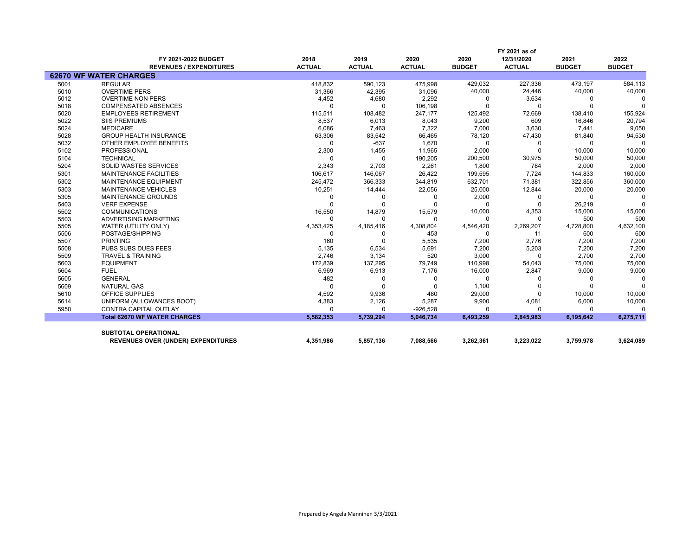|      |                                           | FY 2021 as of |               |               |               |               |               |               |  |  |  |
|------|-------------------------------------------|---------------|---------------|---------------|---------------|---------------|---------------|---------------|--|--|--|
|      | FY 2021-2022 BUDGET                       | 2018          | 2019          | 2020          | 2020          | 12/31/2020    | 2021          | 2022          |  |  |  |
|      | <b>REVENUES / EXPENDITURES</b>            | <b>ACTUAL</b> | <b>ACTUAL</b> | <b>ACTUAL</b> | <b>BUDGET</b> | <b>ACTUAL</b> | <b>BUDGET</b> | <b>BUDGET</b> |  |  |  |
|      | <b>62670 WF WATER CHARGES</b>             |               |               |               |               |               |               |               |  |  |  |
| 5001 | <b>REGULAR</b>                            | 418,832       | 590,123       | 475,998       | 429,032       | 227,336       | 473,197       | 584,113       |  |  |  |
| 5010 | <b>OVERTIME PERS</b>                      | 31,366        | 42,395        | 31,096        | 40,000        | 24,446        | 40,000        | 40,000        |  |  |  |
| 5012 | <b>OVERTIME NON PERS</b>                  | 4,452         | 4,680         | 2,292         | 0             | 3,634         |               |               |  |  |  |
| 5018 | <b>COMPENSATED ABSENCES</b>               | $\Omega$      | $\Omega$      | 106,198       | $\Omega$      | $\Omega$      |               | $\Omega$      |  |  |  |
| 5020 | <b>EMPLOYEES RETIREMENT</b>               | 115,511       | 108,482       | 247,177       | 125,492       | 72,669        | 138,410       | 155,924       |  |  |  |
| 5022 | <b>SIIS PREMIUMS</b>                      | 8,537         | 6,013         | 8,043         | 9,200         | 609           | 16,846        | 20,794        |  |  |  |
| 5024 | <b>MEDICARE</b>                           | 6,086         | 7,463         | 7,322         | 7,000         | 3,630         | 7,441         | 9,050         |  |  |  |
| 5028 | <b>GROUP HEALTH INSURANCE</b>             | 63,306        | 83,542        | 66,465        | 78,120        | 47,430        | 81,840        | 94,530        |  |  |  |
| 5032 | OTHER EMPLOYEE BENEFITS                   | $\Omega$      | $-637$        | 1,670         | $\Omega$      | 0             |               | $\Omega$      |  |  |  |
| 5102 | <b>PROFESSIONAL</b>                       | 2,300         | 1,455         | 11,965        | 2,000         | $\Omega$      | 10,000        | 10,000        |  |  |  |
| 5104 | <b>TECHNICAL</b>                          | $\Omega$      | $\Omega$      | 190,205       | 200,500       | 30,975        | 50,000        | 50,000        |  |  |  |
| 5204 | <b>SOLID WASTES SERVICES</b>              | 2,343         | 2,703         | 2,261         | 1.800         | 784           | 2,000         | 2,000         |  |  |  |
| 5301 | <b>MAINTENANCE FACILITIES</b>             | 106.617       | 146,067       | 26,422        | 199,595       | 7,724         | 144,833       | 160,000       |  |  |  |
| 5302 | <b>MAINTENANCE EQUIPMENT</b>              | 245,472       | 366,333       | 344,819       | 632,701       | 71,381        | 322,856       | 360,000       |  |  |  |
| 5303 | <b>MAINTENANCE VEHICLES</b>               | 10,251        | 14,444        | 22,056        | 25,000        | 12,844        | 20,000        | 20,000        |  |  |  |
| 5305 | MAINTENANCE GROUNDS                       | $\Omega$      | 0             | $\Omega$      | 2,000         | 0             |               | <sup>0</sup>  |  |  |  |
| 5403 | <b>VERF EXPENSE</b>                       | $\Omega$      | $\Omega$      |               | $\Omega$      | $\Omega$      | 26,219        | $\Omega$      |  |  |  |
| 5502 | <b>COMMUNICATIONS</b>                     | 16,550        | 14,879        | 15,579        | 10,000        | 4,353         | 15,000        | 15,000        |  |  |  |
| 5503 | ADVERTISING MARKETING                     | $\Omega$      | $\Omega$      | $\Omega$      | $\Omega$      | $\Omega$      | 500           | 500           |  |  |  |
| 5505 | WATER (UTILITY ONLY)                      | 4,353,425     | 4,185,416     | 4,308,804     | 4,546,420     | 2,269,207     | 4,728,800     | 4,632,100     |  |  |  |
| 5506 | POSTAGE/SHIPPING                          | $\Omega$      | <sup>0</sup>  | 453           | $\Omega$      | 11            | 600           | 600           |  |  |  |
| 5507 | <b>PRINTING</b>                           | 160           | $\Omega$      | 5,535         | 7,200         | 2,776         | 7,200         | 7,200         |  |  |  |
| 5508 | PUBS SUBS DUES FEES                       | 5,135         | 6,534         | 5,691         | 7,200         | 5,203         | 7,200         | 7,200         |  |  |  |
| 5509 | <b>TRAVEL &amp; TRAINING</b>              | 2,746         | 3,134         | 520           | 3,000         | $\Omega$      | 2,700         | 2,700         |  |  |  |
| 5603 | <b>EQUIPMENT</b>                          | 172,839       | 137,295       | 79,749        | 110,998       | 54,043        | 75,000        | 75,000        |  |  |  |
| 5604 | <b>FUEL</b>                               | 6,969         | 6,913         | 7,176         | 16,000        | 2,847         | 9,000         | 9,000         |  |  |  |
| 5605 | <b>GENERAL</b>                            | 482           | 0             | O             | 0             | O             | <sup>0</sup>  | $\Omega$      |  |  |  |
| 5609 | <b>NATURAL GAS</b>                        | $\Omega$      | $\Omega$      |               | 1,100         |               |               | $\Omega$      |  |  |  |
| 5610 | <b>OFFICE SUPPLIES</b>                    | 4,592         | 9,936         | 480           | 29,000        | $\Omega$      | 10,000        | 10,000        |  |  |  |
| 5614 | UNIFORM (ALLOWANCES BOOT)                 | 4,383         | 2,126         | 5,287         | 9,900         | 4,081         | 6,000         | 10,000        |  |  |  |
| 5950 | <b>CONTRA CAPITAL OUTLAY</b>              | $\Omega$      | $\Omega$      | $-926,528$    | $\Omega$      | O             |               | $\Omega$      |  |  |  |
|      | <b>Total 62670 WF WATER CHARGES</b>       | 5,582,353     | 5,739,294     | 5,046,734     | 6,493,259     | 2,845,983     | 6,195,642     | 6,275,711     |  |  |  |
|      |                                           |               |               |               |               |               |               |               |  |  |  |
|      | <b>SUBTOTAL OPERATIONAL</b>               |               |               |               |               |               |               |               |  |  |  |
|      | <b>REVENUES OVER (UNDER) EXPENDITURES</b> | 4,351,986     | 5,857,136     | 7,088,566     | 3,262,361     | 3,223,022     | 3,759,978     | 3,624,089     |  |  |  |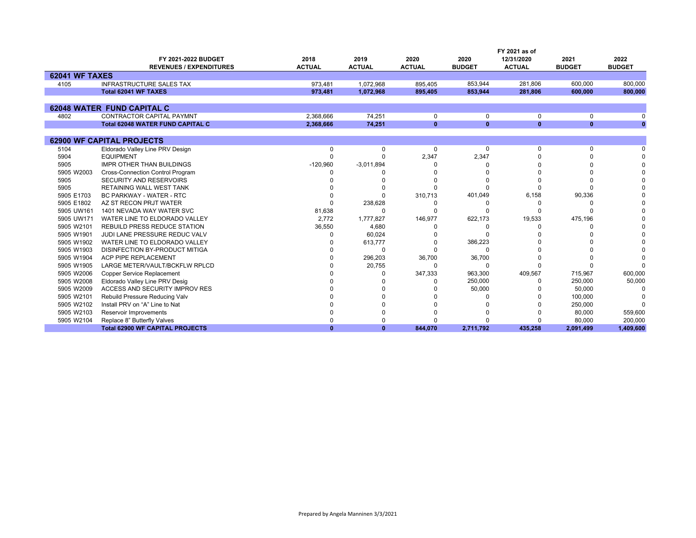|                       |                                         |               |               |               |               | FY 2021 as of |               |               |
|-----------------------|-----------------------------------------|---------------|---------------|---------------|---------------|---------------|---------------|---------------|
|                       | FY 2021-2022 BUDGET                     | 2018          | 2019          | 2020          | 2020          | 12/31/2020    | 2021          | 2022          |
|                       | <b>REVENUES / EXPENDITURES</b>          | <b>ACTUAL</b> | <b>ACTUAL</b> | <b>ACTUAL</b> | <b>BUDGET</b> | <b>ACTUAL</b> | <b>BUDGET</b> | <b>BUDGET</b> |
| <b>62041 WF TAXES</b> |                                         |               |               |               |               |               |               |               |
| 4105                  | <b>INFRASTRUCTURE SALES TAX</b>         | 973.481       | 1.072.968     | 895.405       | 853.944       | 281.806       | 600.000       | 800,000       |
|                       | Total 62041 WF TAXES                    | 973.481       | 1.072.968     | 895.405       | 853.944       | 281.806       | 600.000       | 800.000       |
|                       |                                         |               |               |               |               |               |               |               |
|                       | <b>62048 WATER FUND CAPITAL C</b>       |               |               |               |               |               |               |               |
| 4802                  | <b>CONTRACTOR CAPITAL PAYMNT</b>        | 2,368,666     | 74,251        | 0             | 0             | 0             | 0             |               |
|                       | <b>Total 62048 WATER FUND CAPITAL C</b> | 2,368,666     | 74,251        | $\mathbf{0}$  | $\mathbf{0}$  | $\mathbf{0}$  | $\mathbf{0}$  | $\bf{0}$      |
|                       |                                         |               |               |               |               |               |               |               |
|                       | <b>62900 WF CAPITAL PROJECTS</b>        |               |               |               |               |               |               |               |
| 5104                  | Eldorado Valley Line PRV Design         | $\Omega$      | $\Omega$      | $\Omega$      | $\Omega$      | $\Omega$      | $\Omega$      |               |
| 5904                  | <b>EQUIPMENT</b>                        | 0             |               | 2,347         | 2,347         |               |               |               |
| 5905                  | <b>IMPR OTHER THAN BUILDINGS</b>        | $-120,960$    | $-3,011,894$  |               |               |               |               |               |
| 5905 W2003            | Cross-Connection Control Program        |               |               |               |               |               |               |               |
| 5905                  | SECURITY AND RESERVOIRS                 |               |               |               |               |               |               |               |
| 5905                  | RETAINING WALL WEST TANK                |               |               |               |               |               |               |               |
| 5905 E1703            | <b>BC PARKWAY - WATER - RTC</b>         |               |               | 310,713       | 401,049       | 6,158         | 90,336        |               |
| 5905 E1802            | AZ ST RECON PRJT WATER                  |               | 238,628       |               |               |               |               |               |
| 5905 UW161            | 1401 NEVADA WAY WATER SVC               | 81,638        |               |               |               |               |               |               |
| 5905 UW171            | WATER LINE TO ELDORADO VALLEY           | 2.772         | 1,777,827     | 146,977       | 622,173       | 19,533        | 475,196       |               |
| 5905 W2101            | <b>REBUILD PRESS REDUCE STATION</b>     | 36,550        | 4,680         |               |               |               |               |               |
| 5905 W1901            | JUDI LANE PRESSURE REDUC VALV           | ŋ             | 60,024        |               | O             |               |               |               |
| 5905 W1902            | WATER LINE TO ELDORADO VALLEY           |               | 613,777       |               | 386,223       |               |               |               |
| 5905 W1903            | DISINFECTION BY-PRODUCT MITIGA          |               | ∩             |               | $\Omega$      |               |               |               |
| 5905 W1904            | ACP PIPE REPLACEMENT                    |               | 296,203       | 36,700        | 36,700        |               |               |               |
| 5905 W1905            | LARGE METER/VAULT/BCKFLW RPLCD          |               | 20,755        | ŋ             | O             |               |               |               |
| 5905 W2006            | <b>Copper Service Replacement</b>       |               |               | 347,333       | 963,300       | 409,567       | 715,967       | 600,000       |
| 5905 W2008            | Eldorado Valley Line PRV Desig          |               |               |               | 250,000       | <sup>0</sup>  | 250,000       | 50,000        |
| 5905 W2009            | <b>ACCESS AND SECURITY IMPROV RES</b>   |               |               |               | 50,000        |               | 50,000        | <sup>0</sup>  |
| 5905 W2101            | Rebuild Pressure Reducing Valv          |               |               |               |               |               | 100,000       |               |
| 5905 W2102            | Install PRV on "A" Line to Nat          |               |               |               |               |               | 250,000       |               |
| 5905 W2103            | Reservoir Improvements                  |               |               |               |               |               | 80,000        | 559,600       |
| 5905 W2104            | Replace 8" Butterfly Valves             |               |               |               |               |               | 80,000        | 200,000       |
|                       | <b>Total 62900 WF CAPITAL PROJECTS</b>  | $\bf{0}$      | $\mathbf{0}$  | 844,070       | 2,711,792     | 435.258       | 2,091,499     | 1,409,600     |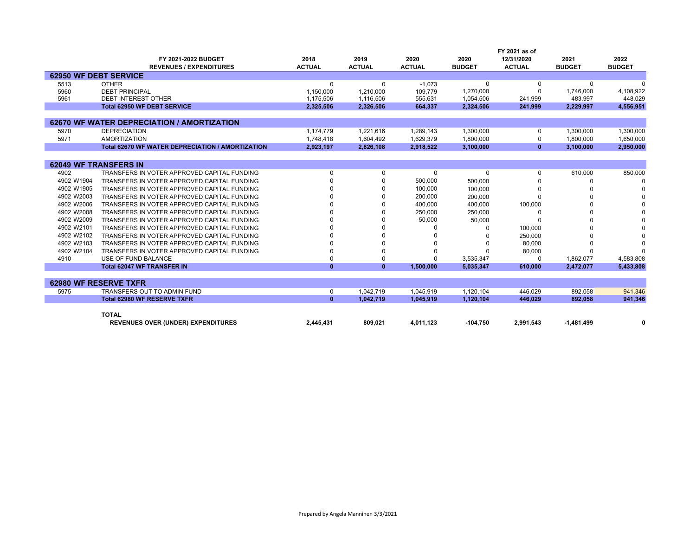|            |                                                  |               |               |               |               | FY 2021 as of |               |               |
|------------|--------------------------------------------------|---------------|---------------|---------------|---------------|---------------|---------------|---------------|
|            | FY 2021-2022 BUDGET                              | 2018          | 2019          | 2020          | 2020          | 12/31/2020    | 2021          | 2022          |
|            | <b>REVENUES / EXPENDITURES</b>                   | <b>ACTUAL</b> | <b>ACTUAL</b> | <b>ACTUAL</b> | <b>BUDGET</b> | <b>ACTUAL</b> | <b>BUDGET</b> | <b>BUDGET</b> |
|            | <b>62950 WF DEBT SERVICE</b>                     |               |               |               |               |               |               |               |
| 5513       | <b>OTHER</b>                                     | 0             | $\Omega$      | $-1,073$      | 0             | 0             | 0             |               |
| 5960       | <b>DEBT PRINCIPAL</b>                            | 1,150,000     | 1,210,000     | 109,779       | 1,270,000     |               | 1,746,000     | 4,108,922     |
| 5961       | <b>DEBT INTEREST OTHER</b>                       | 1.175.506     | 1.116.506     | 555.631       | 1,054,506     | 241,999       | 483.997       | 448.029       |
|            | <b>Total 62950 WF DEBT SERVICE</b>               | 2,325,506     | 2,326,506     | 664,337       | 2,324,506     | 241,999       | 2.229.997     | 4,556,951     |
|            |                                                  |               |               |               |               |               |               |               |
|            | 62670 WF WATER DEPRECIATION / AMORTIZATION       |               |               |               |               |               |               |               |
| 5970       | <b>DEPRECIATION</b>                              | 1.174.779     | 1,221,616     | 1.289.143     | 1,300,000     | $\Omega$      | 1,300,000     | 1,300,000     |
| 5971       | <b>AMORTIZATION</b>                              | 1.748.418     | 1,604,492     | 1,629,379     | 1,800,000     | $\Omega$      | 1,800,000     | 1,650,000     |
|            | Total 62670 WF WATER DEPRECIATION / AMORTIZATION | 2,923,197     | 2.826.108     | 2,918,522     | 3,100,000     | $\mathbf{0}$  | 3.100.000     | 2,950,000     |
|            |                                                  |               |               |               |               |               |               |               |
|            | <b>62049 WF TRANSFERS IN</b>                     |               |               |               |               |               |               |               |
| 4902       | TRANSFERS IN VOTER APPROVED CAPITAL FUNDING      | <sup>0</sup>  | $\Omega$      | 0             | $\Omega$      | $\Omega$      | 610,000       | 850,000       |
| 4902 W1904 | TRANSFERS IN VOTER APPROVED CAPITAL FUNDING      |               | $\Omega$      | 500,000       | 500,000       |               |               |               |
| 4902 W1905 | TRANSFERS IN VOTER APPROVED CAPITAL FUNDING      |               |               | 100.000       | 100,000       |               |               |               |
| 4902 W2003 | TRANSFERS IN VOTER APPROVED CAPITAL FUNDING      |               |               | 200,000       | 200,000       |               |               |               |
| 4902 W2006 | TRANSFERS IN VOTER APPROVED CAPITAL FUNDING      |               |               | 400,000       | 400.000       | 100,000       |               |               |
| 4902 W2008 | TRANSFERS IN VOTER APPROVED CAPITAL FUNDING      |               |               | 250,000       | 250.000       |               |               |               |
| 4902 W2009 | TRANSFERS IN VOTER APPROVED CAPITAL FUNDING      |               | $\Omega$      | 50,000        | 50,000        |               |               |               |
| 4902 W2101 | TRANSFERS IN VOTER APPROVED CAPITAL FUNDING      |               | $\Omega$      |               |               | 100,000       |               |               |
| 4902 W2102 | TRANSFERS IN VOTER APPROVED CAPITAL FUNDING      |               |               |               |               | 250,000       |               |               |
| 4902 W2103 | TRANSFERS IN VOTER APPROVED CAPITAL FUNDING      |               | $\Omega$      |               |               | 80,000        |               |               |
| 4902 W2104 | TRANSFERS IN VOTER APPROVED CAPITAL FUNDING      |               | $\Omega$      |               |               | 80,000        |               |               |
| 4910       | USE OF FUND BALANCE                              |               | $\Omega$      | $\Omega$      | 3,535,347     | $\Omega$      | 1,862,077     | 4,583,808     |
|            | <b>Total 62047 WF TRANSFER IN</b>                | $\mathbf{0}$  | $\mathbf{0}$  | 1,500,000     | 5,035,347     | 610,000       | 2,472,077     | 5,433,808     |
|            |                                                  |               |               |               |               |               |               |               |
|            | 62980 WF RESERVE TXFR                            |               |               |               |               |               |               |               |
| 5975       | TRANSFERS OUT TO ADMIN FUND                      | 0             | 1,042,719     | 1,045,919     | 1,120,104     | 446,029       | 892,058       | 941,346       |
|            | <b>Total 62980 WF RESERVE TXFR</b>               | $\mathbf{0}$  | 1.042.719     | 1.045.919     | 1.120.104     | 446.029       | 892.058       | 941,346       |
|            |                                                  |               |               |               |               |               |               |               |

| 809,021<br><b>REVENUES OVER (UNDER) EXPENDITURES</b><br>$-104.75f$<br>.445.431<br>4,011,123<br>2.991.543<br><b>AR1</b><br>$\overline{A}$<br>the contract of the contract of the contract of the contract of the contract of the contract of the contract of |  |
|-------------------------------------------------------------------------------------------------------------------------------------------------------------------------------------------------------------------------------------------------------------|--|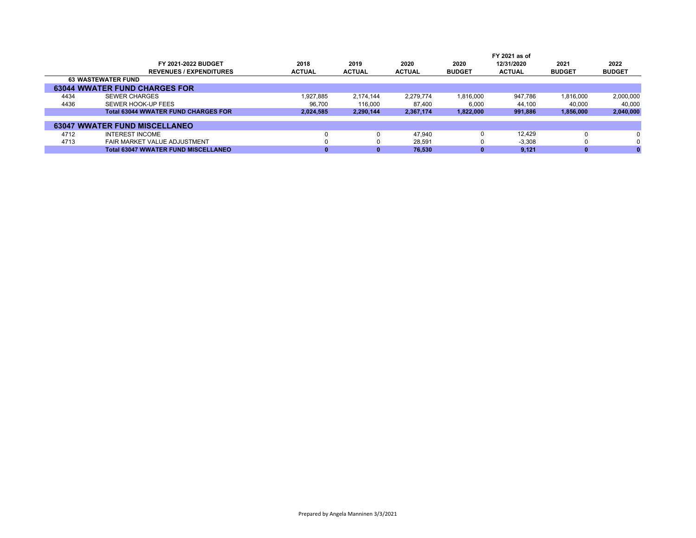|      |                                            |               |               |               |               | FY 2021 as of |               |               |
|------|--------------------------------------------|---------------|---------------|---------------|---------------|---------------|---------------|---------------|
|      | <b>FY 2021-2022 BUDGET</b>                 | 2018          | 2019          | 2020          | 2020          | 12/31/2020    | 2021          | 2022          |
|      | <b>REVENUES / EXPENDITURES</b>             | <b>ACTUAL</b> | <b>ACTUAL</b> | <b>ACTUAL</b> | <b>BUDGET</b> | <b>ACTUAL</b> | <b>BUDGET</b> | <b>BUDGET</b> |
|      | <b>63 WASTEWATER FUND</b>                  |               |               |               |               |               |               |               |
|      | <b>63044 WWATER FUND CHARGES FOR</b>       |               |               |               |               |               |               |               |
| 4434 | <b>SEWER CHARGES</b>                       | 1.927.885     | 2.174.144     | 2.279.774     | 1.816.000     | 947.786       | 1.816.000     | 2,000,000     |
| 4436 | SEWER HOOK-UP FEES                         | 96,700        | 116,000       | 87.400        | 6,000         | 44,100        | 40.000        | 40,000        |
|      | <b>Total 63044 WWATER FUND CHARGES FOR</b> | 2,024,585     | 2,290,144     | 2,367,174     | 1,822,000     | 991,886       | 1,856,000     | 2,040,000     |
|      |                                            |               |               |               |               |               |               |               |
|      | <b>63047 WWATER FUND MISCELLANEO</b>       |               |               |               |               |               |               |               |
| 4712 | <b>INTEREST INCOME</b>                     |               |               | 47.940        |               | 12.429        |               |               |
| 4713 | FAIR MARKET VALUE ADJUSTMENT               |               |               | 28,591        |               | $-3.308$      |               | 0             |
|      | <b>Total 63047 WWATER FUND MISCELLANEO</b> |               |               | 76.530        |               | 9.121         |               |               |
|      |                                            |               |               |               |               |               |               |               |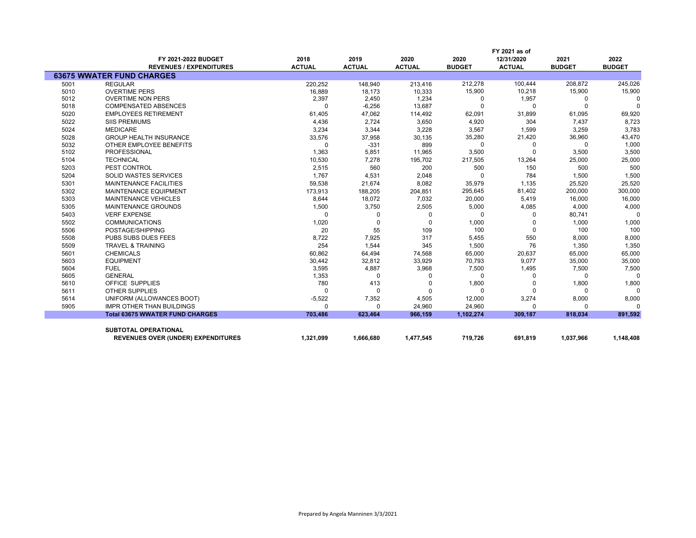|      |                                           | FY 2021 as of |               |               |               |               |               |               |  |  |  |
|------|-------------------------------------------|---------------|---------------|---------------|---------------|---------------|---------------|---------------|--|--|--|
|      | FY 2021-2022 BUDGET                       | 2018          | 2019          | 2020          | 2020          | 12/31/2020    | 2021          | 2022          |  |  |  |
|      | <b>REVENUES / EXPENDITURES</b>            | <b>ACTUAL</b> | <b>ACTUAL</b> | <b>ACTUAL</b> | <b>BUDGET</b> | <b>ACTUAL</b> | <b>BUDGET</b> | <b>BUDGET</b> |  |  |  |
|      | <b>63675 WWATER FUND CHARGES</b>          |               |               |               |               |               |               |               |  |  |  |
| 5001 | <b>REGULAR</b>                            | 220,252       | 148,940       | 213,416       | 212,278       | 100,444       | 208,872       | 245,026       |  |  |  |
| 5010 | <b>OVERTIME PERS</b>                      | 16,889        | 18,173        | 10,333        | 15,900        | 10,218        | 15,900        | 15,900        |  |  |  |
| 5012 | <b>OVERTIME NON PERS</b>                  | 2,397         | 2,450         | 1,234         | 0             | 1,957         | 0             | $\Omega$      |  |  |  |
| 5018 | <b>COMPENSATED ABSENCES</b>               | 0             | $-6,256$      | 13,687        | 0             | $\Omega$      | $\Omega$      | $\Omega$      |  |  |  |
| 5020 | <b>EMPLOYEES RETIREMENT</b>               | 61,405        | 47,062        | 114,492       | 62,091        | 31,899        | 61,095        | 69,920        |  |  |  |
| 5022 | <b>SIIS PREMIUMS</b>                      | 4,436         | 2,724         | 3,650         | 4,920         | 304           | 7,437         | 8,723         |  |  |  |
| 5024 | <b>MEDICARE</b>                           | 3,234         | 3,344         | 3,228         | 3,567         | 1,599         | 3,259         | 3,783         |  |  |  |
| 5028 | <b>GROUP HEALTH INSURANCE</b>             | 33,576        | 37,958        | 30,135        | 35,280        | 21,420        | 36,960        | 43,470        |  |  |  |
| 5032 | OTHER EMPLOYEE BENEFITS                   | 0             | $-331$        | 899           | $\Omega$      | 0             | 0             | 1,000         |  |  |  |
| 5102 | <b>PROFESSIONAL</b>                       | 1,363         | 5,851         | 11,965        | 3,500         | $\Omega$      | 3,500         | 3,500         |  |  |  |
| 5104 | <b>TECHNICAL</b>                          | 10,530        | 7,278         | 195,702       | 217,505       | 13,264        | 25,000        | 25,000        |  |  |  |
| 5203 | PEST CONTROL                              | 2,515         | 560           | 200           | 500           | 150           | 500           | 500           |  |  |  |
| 5204 | <b>SOLID WASTES SERVICES</b>              | 1,767         | 4,531         | 2,048         | $\Omega$      | 784           | 1,500         | 1,500         |  |  |  |
| 5301 | <b>MAINTENANCE FACILITIES</b>             | 59,538        | 21,674        | 8,082         | 35,979        | 1,135         | 25,520        | 25,520        |  |  |  |
| 5302 | MAINTENANCE EQUIPMENT                     | 173,913       | 188,205       | 204,851       | 295,645       | 81,402        | 200,000       | 300,000       |  |  |  |
| 5303 | MAINTENANCE VEHICLES                      | 8,644         | 18,072        | 7,032         | 20,000        | 5,419         | 16,000        | 16,000        |  |  |  |
| 5305 | <b>MAINTENANCE GROUNDS</b>                | 1,500         | 3,750         | 2,505         | 5,000         | 4,085         | 4,000         | 4,000         |  |  |  |
| 5403 | <b>VERF EXPENSE</b>                       | 0             | 0             | 0             | 0             | 0             | 80,741        | $\Omega$      |  |  |  |
| 5502 | <b>COMMUNICATIONS</b>                     | 1,020         | 0             | 0             | 1,000         |               | 1,000         | 1,000         |  |  |  |
| 5506 | POSTAGE/SHIPPING                          | 20            | 55            | 109           | 100           | $\mathbf 0$   | 100           | 100           |  |  |  |
| 5508 | PUBS SUBS DUES FEES                       | 8,722         | 7,925         | 317           | 5,455         | 550           | 8,000         | 8,000         |  |  |  |
| 5509 | <b>TRAVEL &amp; TRAINING</b>              | 254           | 1,544         | 345           | 1,500         | 76            | 1,350         | 1,350         |  |  |  |
| 5601 | <b>CHEMICALS</b>                          | 60,862        | 64,494        | 74,568        | 65,000        | 20,637        | 65,000        | 65,000        |  |  |  |
| 5603 | <b>EQUIPMENT</b>                          | 30,442        | 32,812        | 33,929        | 70,793        | 9,077         | 35,000        | 35,000        |  |  |  |
| 5604 | <b>FUEL</b>                               | 3,595         | 4,887         | 3,968         | 7,500         | 1,495         | 7,500         | 7,500         |  |  |  |
| 5605 | <b>GENERAL</b>                            | 1,353         | U             | ŋ             | 0             | 0             | 0             | $\Omega$      |  |  |  |
| 5610 | <b>OFFICE SUPPLIES</b>                    | 780           | 413           | O             | 1,800         | 0             | 1,800         | 1,800         |  |  |  |
| 5611 | <b>OTHER SUPPLIES</b>                     | $\Omega$      | U             | O             | O             | $\Omega$      | $\Omega$      | $\Omega$      |  |  |  |
| 5614 | UNIFORM (ALLOWANCES BOOT)                 | $-5,522$      | 7,352         | 4,505         | 12,000        | 3,274         | 8,000         | 8,000         |  |  |  |
| 5905 | <b>IMPR OTHER THAN BUILDINGS</b>          | 0             | 0             | 24,960        | 24,960        | $\Omega$      | 0             | $\Omega$      |  |  |  |
|      | <b>Total 63675 WWATER FUND CHARGES</b>    | 703.486       | 623.464       | 966.159       | 1,102,274     | 309,187       | 818.034       | 891,592       |  |  |  |
|      |                                           |               |               |               |               |               |               |               |  |  |  |
|      | <b>SUBTOTAL OPERATIONAL</b>               |               |               |               |               |               |               |               |  |  |  |
|      | <b>REVENUES OVER (UNDER) EXPENDITURES</b> | 1,321,099     | 1,666,680     | 1,477,545     | 719,726       | 691,819       | 1,037,966     | 1,148,408     |  |  |  |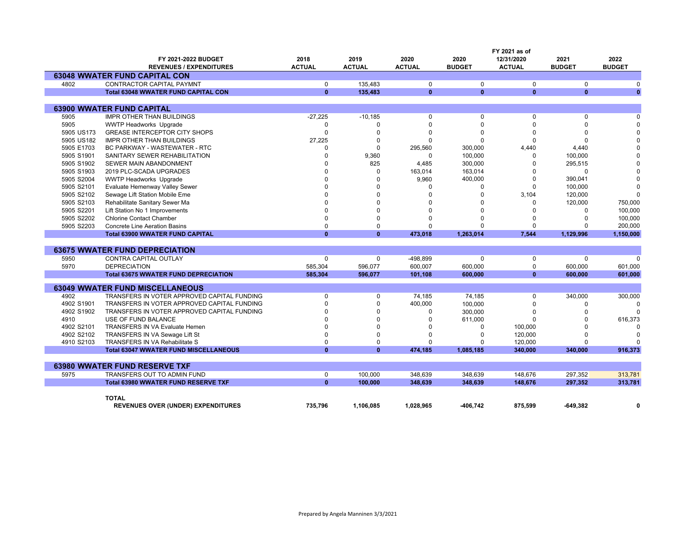|            |                                              |               |               |               |               | FY 2021 as of |               |               |  |  |
|------------|----------------------------------------------|---------------|---------------|---------------|---------------|---------------|---------------|---------------|--|--|
|            | FY 2021-2022 BUDGET                          | 2018          | 2019          | 2020          | 2020          | 12/31/2020    | 2021          | 2022          |  |  |
|            | <b>REVENUES / EXPENDITURES</b>               | <b>ACTUAL</b> | <b>ACTUAL</b> | <b>ACTUAL</b> | <b>BUDGET</b> | <b>ACTUAL</b> | <b>BUDGET</b> | <b>BUDGET</b> |  |  |
|            | <b>63048 WWATER FUND CAPITAL CON</b>         |               |               |               |               |               |               |               |  |  |
| 4802       | <b>CONTRACTOR CAPITAL PAYMNT</b>             | $\mathbf 0$   | 135.483       | $\mathbf 0$   | $\Omega$      | $\mathbf 0$   | $\Omega$      | $\Omega$      |  |  |
|            | <b>Total 63048 WWATER FUND CAPITAL CON</b>   | $\mathbf{0}$  | 135,483       | $\mathbf{0}$  | $\mathbf{0}$  | $\mathbf{0}$  | $\mathbf{0}$  | $\mathbf{0}$  |  |  |
|            |                                              |               |               |               |               |               |               |               |  |  |
|            | <b>63900 WWATER FUND CAPITAL</b>             |               |               |               |               |               |               |               |  |  |
| 5905       | <b>IMPR OTHER THAN BUILDINGS</b>             | $-27,225$     | $-10,185$     | 0             | 0             | $\mathbf 0$   | $\Omega$      | $\Omega$      |  |  |
| 5905       | <b>WWTP Headworks Upgrade</b>                | $\Omega$      | $\Omega$      | 0             | $\Omega$      | $\Omega$      | $\Omega$      | $\Omega$      |  |  |
| 5905 US173 | <b>GREASE INTERCEPTOR CITY SHOPS</b>         | $\Omega$      | $\Omega$      | $\Omega$      | $\Omega$      | $\Omega$      | $\Omega$      | $\Omega$      |  |  |
| 5905 US182 | <b>IMPR OTHER THAN BUILDINGS</b>             | 27,225        | $\Omega$      | $\Omega$      | $\Omega$      | $\Omega$      | $\Omega$      | $\Omega$      |  |  |
| 5905 E1703 | <b>BC PARKWAY - WASTEWATER - RTC</b>         | $\Omega$      | $\Omega$      | 295,560       | 300,000       | 4,440         | 4,440         | $\Omega$      |  |  |
| 5905 S1901 | SANITARY SEWER REHABILITATION                | $\Omega$      | 9,360         | 0             | 100,000       | 0             | 100,000       |               |  |  |
| 5905 S1902 | SEWER MAIN ABANDONMENT                       | n             | 825           | 4,485         | 300,000       | $\Omega$      | 295,515       |               |  |  |
| 5905 S1903 | 2019 PLC-SCADA UPGRADES                      |               | $\Omega$      | 163,014       | 163,014       | $\Omega$      | $\Omega$      | $\Omega$      |  |  |
| 5905 S2004 | <b>WWTP Headworks Upgrade</b>                |               | $\Omega$      | 9,960         | 400,000       | $\Omega$      | 390,041       | $\Omega$      |  |  |
| 5905 S2101 | Evaluate Hemenway Valley Sewer               |               | $\Omega$      | 0             | 0             | $\mathbf 0$   | 100,000       | $\Omega$      |  |  |
| 5905 S2102 | Sewage Lift Station Mobile Eme               |               | $\Omega$      |               | O             | 3.104         | 120.000       | $\Omega$      |  |  |
| 5905 S2103 | Rehabilitate Sanitary Sewer Ma               |               | $\Omega$      |               | U             | $\Omega$      | 120,000       | 750,000       |  |  |
| 5905 S2201 | Lift Station No 1 Improvements               |               | $\Omega$      |               | O             | U             | $\Omega$      | 100,000       |  |  |
| 5905 S2202 | <b>Chlorine Contact Chamber</b>              |               | $\Omega$      |               | U             |               | $\Omega$      | 100,000       |  |  |
| 5905 S2203 | <b>Concrete Line Aeration Basins</b>         | $\Omega$      | $\Omega$      | U             | $\Omega$      | $\Omega$      |               | 200,000       |  |  |
|            | <b>Total 63900 WWATER FUND CAPITAL</b>       | $\mathbf{0}$  | $\mathbf{0}$  | 473,018       | 1,263,014     | 7,544         | 1,129,996     | 1,150,000     |  |  |
|            |                                              |               |               |               |               |               |               |               |  |  |
|            | <b>63675 WWATER FUND DEPRECIATION</b>        |               |               |               |               |               |               |               |  |  |
| 5950       | CONTRA CAPITAL OUTLAY                        | 0             | $\Omega$      | -498,899      | $\Omega$      | 0             | $\Omega$      | $\Omega$      |  |  |
| 5970       | <b>DEPRECIATION</b>                          | 585,304       | 596,077       | 600,007       | 600,000       | 0             | 600,000       | 601,000       |  |  |
|            | <b>Total 63675 WWATER FUND DEPRECIATION</b>  | 585,304       | 596,077       | 101,108       | 600,000       | $\mathbf{0}$  | 600,000       | 601,000       |  |  |
|            |                                              |               |               |               |               |               |               |               |  |  |
|            | <b>63049 WWATER FUND MISCELLANEOUS</b>       |               |               |               |               |               |               |               |  |  |
| 4902       | TRANSFERS IN VOTER APPROVED CAPITAL FUNDING  | $\Omega$      | $\mathbf 0$   | 74,185        | 74,185        | $\mathbf 0$   | 340,000       | 300,000       |  |  |
| 4902 S1901 | TRANSFERS IN VOTER APPROVED CAPITAL FUNDING  | $\Omega$      | $\Omega$      | 400,000       | 100,000       | $\Omega$      | $\Omega$      | $\Omega$      |  |  |
| 4902 S1902 | TRANSFERS IN VOTER APPROVED CAPITAL FUNDING  |               | $\Omega$      | 0             | 300,000       | $\Omega$      | $\Omega$      |               |  |  |
| 4910       | USE OF FUND BALANCE                          |               | $\Omega$      | $\Omega$      | 611,000       | $\Omega$      | $\Omega$      | 616,373       |  |  |
| 4902 S2101 | <b>TRANSFERS IN VA Evaluate Hemen</b>        | $\Omega$      | $\Omega$      | 0             | $\Omega$      | 100,000       |               |               |  |  |
| 4902 S2102 | TRANSFERS IN VA Sewage Lift St               | $\Omega$      | $\Omega$      | ŋ             | $\Omega$      | 120,000       | $\Omega$      | $\Omega$      |  |  |
| 4910 S2103 | TRANSFERS IN VA Rehabilitate S               | $\Omega$      | $\Omega$      | 0             | O             | 120,000       | $\Omega$      | ŋ             |  |  |
|            | <b>Total 63047 WWATER FUND MISCELLANEOUS</b> | $\mathbf{0}$  | $\mathbf{0}$  | 474,185       | 1,085,185     | 340,000       | 340,000       | 916,373       |  |  |
|            |                                              |               |               |               |               |               |               |               |  |  |
|            | <b>63980 WWATER FUND RESERVE TXF</b>         |               |               |               |               |               |               |               |  |  |
| 5975       | TRANSFERS OUT TO ADMIN FUND                  | $\mathbf 0$   | 100,000       | 348,639       | 348,639       | 148,676       | 297,352       | 313,781       |  |  |
|            | <b>Total 63980 WWATER FUND RESERVE TXF</b>   | $\mathbf{0}$  | 100,000       | 348,639       | 348,639       | 148,676       | 297,352       | 313,781       |  |  |
|            |                                              |               |               |               |               |               |               |               |  |  |
|            | <b>TOTAL</b>                                 |               |               |               |               |               |               |               |  |  |
|            | <b>REVENUES OVER (UNDER) EXPENDITURES</b>    | 735.796       | 1.106.085     | 1.028.965     | -406.742      | 875.599       | -649.382      | 0             |  |  |
|            |                                              |               |               |               |               |               |               |               |  |  |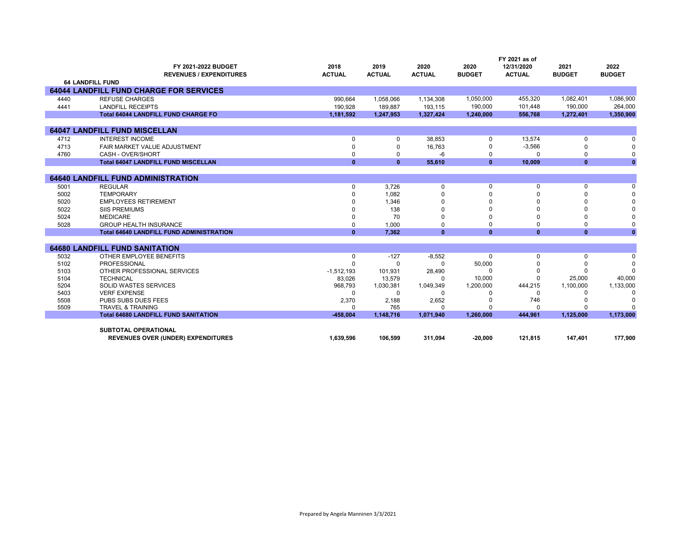|              | FY 2021-2022 BUDGET<br><b>REVENUES / EXPENDITURES</b> | 2018<br><b>ACTUAL</b> | 2019<br><b>ACTUAL</b> | 2020<br><b>ACTUAL</b> | 2020<br><b>BUDGET</b> | FY 2021 as of<br>12/31/2020<br><b>ACTUAL</b> | 2021<br><b>BUDGET</b> | 2022<br><b>BUDGET</b> |
|--------------|-------------------------------------------------------|-----------------------|-----------------------|-----------------------|-----------------------|----------------------------------------------|-----------------------|-----------------------|
|              | <b>64 LANDFILL FUND</b>                               |                       |                       |                       |                       |                                              |                       |                       |
|              | <b>64044 LANDFILL FUND CHARGE FOR SERVICES</b>        |                       |                       |                       |                       |                                              |                       |                       |
| 4440         | <b>REFUSE CHARGES</b>                                 | 990,664               | 1,058,066             | 1,134,308             | 1,050,000             | 455.320                                      | 1.082.401             | 1,086,900             |
| 4441         | <b>LANDFILL RECEIPTS</b>                              | 190.928               | 189.887               | 193,115               | 190,000               | 101,448                                      | 190,000               | 264,000               |
|              | <b>Total 64044 LANDFILL FUND CHARGE FO</b>            | 1,181,592             | 1,247,953             | 1,327,424             | 1,240,000             | 556,768                                      | 1,272,401             | 1,350,900             |
|              |                                                       |                       |                       |                       |                       |                                              |                       |                       |
|              | <b>64047 LANDFILL FUND MISCELLAN</b>                  |                       |                       |                       |                       |                                              |                       |                       |
| 4712         | <b>INTEREST INCOME</b>                                | $\Omega$              | $\Omega$              | 38,853                | 0                     | 13,574                                       | 0                     | $\Omega$              |
| 4713         | FAIR MARKET VALUE ADJUSTMENT                          | $\Omega$              | $\Omega$              | 16,763                | 0                     | $-3,566$                                     | $\Omega$              | $\Omega$              |
| 4760         | CASH - OVER/SHORT                                     | $\Omega$              | 0                     | $-6$                  | 0                     | $\Omega$                                     | 0                     | 0                     |
|              | <b>Total 64047 LANDFILL FUND MISCELLAN</b>            | $\bf{0}$              | $\mathbf{0}$          | 55,610                | $\mathbf{0}$          | 10,009                                       | $\mathbf{0}$          | $\mathbf{0}$          |
|              | <b>64640 LANDFILL FUND ADMINISTRATION</b>             |                       |                       |                       |                       |                                              |                       |                       |
| 5001         | <b>REGULAR</b>                                        | $\Omega$              | 3.726                 | $\mathbf 0$           | 0                     | $\mathbf 0$                                  | $\Omega$              | $\Omega$              |
| 5002         | <b>TEMPORARY</b>                                      |                       | 1,082                 |                       |                       |                                              |                       |                       |
| 5020         | <b>EMPLOYEES RETIREMENT</b>                           |                       | 1,346                 |                       |                       |                                              |                       |                       |
| 5022         | <b>SIIS PREMIUMS</b>                                  |                       | 138                   |                       |                       |                                              |                       |                       |
| 5024         | <b>MEDICARE</b>                                       | n                     | 70                    | $\Omega$              |                       |                                              |                       | $\Omega$              |
| 5028         | <b>GROUP HEALTH INSURANCE</b>                         | $\Omega$              | 1.000                 | $\Omega$              | 0                     | $\Omega$                                     | $\Omega$              | 0                     |
|              | <b>Total 64640 LANDFILL FUND ADMINISTRATION</b>       | $\mathbf{0}$          | 7.362                 | $\mathbf{0}$          | $\mathbf{0}$          | $\mathbf{0}$                                 | $\mathbf{0}$          | $\mathbf{0}$          |
|              |                                                       |                       |                       |                       |                       |                                              |                       |                       |
|              | <b>64680 LANDFILL FUND SANITATION</b>                 |                       |                       |                       |                       |                                              |                       |                       |
| 5032         | OTHER EMPLOYEE BENEFITS                               | 0                     | $-127$                | $-8,552$              | $\Omega$              | $\mathbf 0$                                  | $\mathbf 0$           | $\Omega$              |
| 5102         | PROFESSIONAL                                          | $\Omega$              | $\Omega$              | $\Omega$              | 50,000                |                                              |                       | $\Omega$              |
| 5103         | OTHER PROFESSIONAL SERVICES                           | $-1,512,193$          | 101,931               | 28,490                | $\Omega$              |                                              |                       | $\Omega$              |
| 5104         | <b>TECHNICAL</b>                                      | 83,026                | 13,579                | $\Omega$              | 10,000                |                                              | 25,000                | 40,000                |
| 5204         | <b>SOLID WASTES SERVICES</b>                          | 968.793               | 1,030,381             | 1,049,349             | 1,200,000             | 444,215                                      | 1,100,000             | 1,133,000             |
| 5403<br>5508 | <b>VERF EXPENSE</b><br>PUBS SUBS DUES FEES            | $\Omega$<br>2,370     | $\Omega$<br>2,188     | $\Omega$<br>2,652     |                       | $\Omega$<br>746                              | <sup>0</sup>          | $\Omega$<br>0         |
| 5509         | <b>TRAVEL &amp; TRAINING</b>                          | $\Omega$              | 765                   | $\Omega$              |                       | $\Omega$                                     |                       | $\Omega$              |
|              | <b>Total 64680 LANDFILL FUND SANITATION</b>           | $-458.004$            | 1,148,716             | 1,071,940             | 1,260,000             | 444,961                                      | 1,125,000             | 1,173,000             |
|              |                                                       |                       |                       |                       |                       |                                              |                       |                       |
|              | <b>SUBTOTAL OPERATIONAL</b>                           |                       |                       |                       |                       |                                              |                       |                       |
|              | <b>REVENUES OVER (UNDER) EXPENDITURES</b>             | 1.639.596             | 106.599               | 311,094               | $-20,000$             | 121,815                                      | 147,401               | 177,900               |